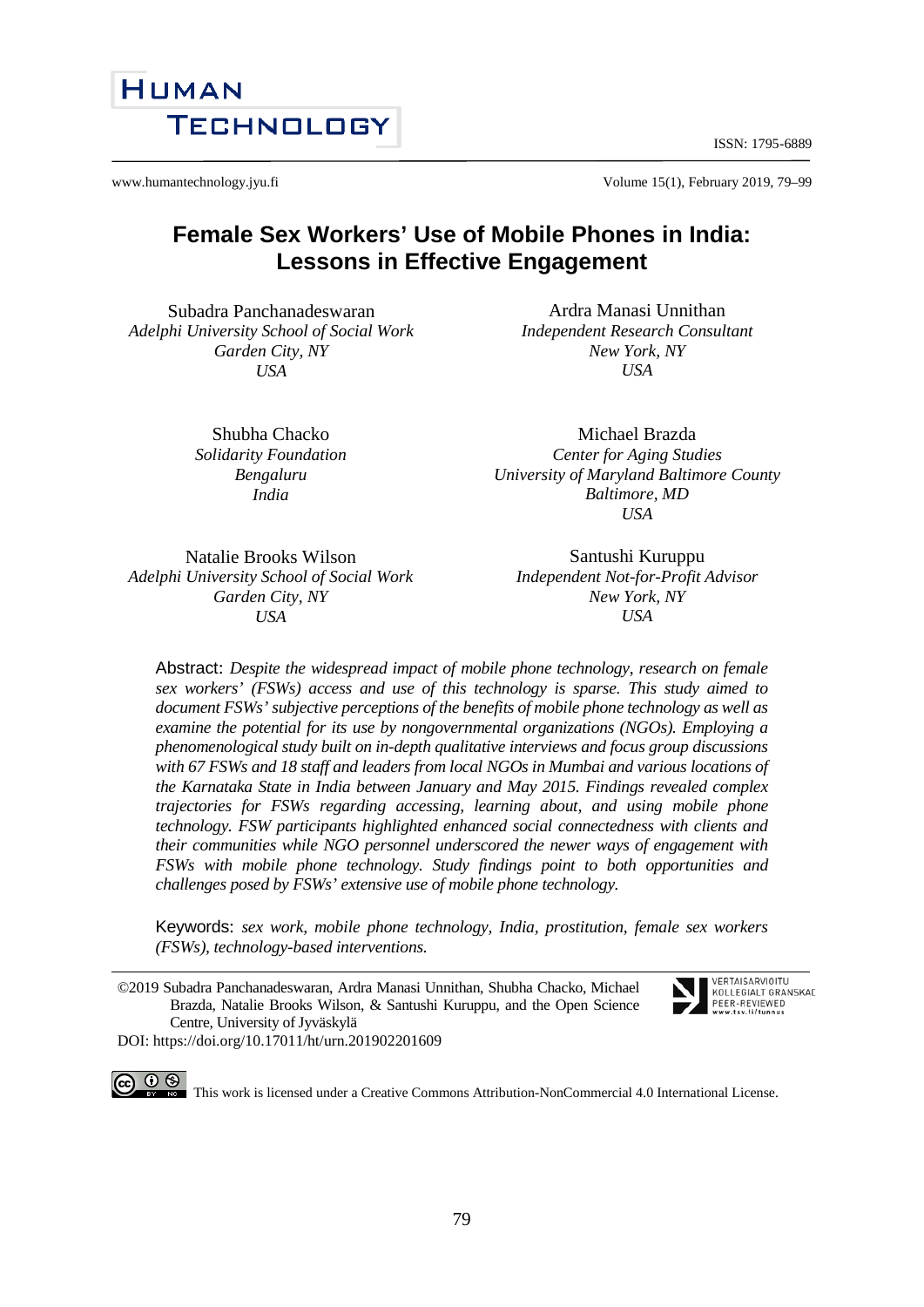ISSN: 1795-6889

www.humantechnology.jyu.fi Volume 15(1), February 2019, 79–99

# **Female Sex Workers' Use of Mobile Phones in India: Lessons in Effective Engagement**

Subadra Panchanadeswaran *Adelphi University School of Social Work Garden City, NY USA*

> Shubha Chacko *Solidarity Foundation Bengaluru India*

*Center for Aging Studies University of Maryland Baltimore County Baltimore, MD USA*

Santushi Kuruppu *Independent Not-for-Profit Advisor New York, NY USA*

Michael Brazda

Ardra Manasi Unnithan *Independent Research Consultant New York, NY USA*

Natalie Brooks Wilson *Adelphi University School of Social Work Garden City, NY USA*

Abstract: *Despite the widespread impact of mobile phone technology, research on female sex workers' (FSWs) access and use of this technology is sparse. This study aimed to document FSWs' subjective perceptions of the benefits of mobile phone technology as well as examine the potential for its use by nongovernmental organizations (NGOs). Employing a phenomenological study built on in-depth qualitative interviews and focus group discussions with 67 FSWs and 18 staff and leaders from local NGOs in Mumbai and various locations of the Karnataka State in India between January and May 2015. Findings revealed complex trajectories for FSWs regarding accessing, learning about, and using mobile phone technology. FSW participants highlighted enhanced social connectedness with clients and their communities while NGO personnel underscored the newer ways of engagement with FSWs with mobile phone technology. Study findings point to both opportunities and challenges posed by FSWs' extensive use of mobile phone technology.*

Keywords: *sex work, mobile phone technology, India, prostitution, female sex workers (FSWs), technology-based interventions.* 

©2019 Subadra Panchanadeswaran, Ardra Manasi Unnithan, Shubha Chacko, Michael Brazda, Natalie Brooks Wilson, & Santushi Kuruppu, and the Open Science Centre, University of Jyväskylä

DOI: https://doi.org/10.17011/ht/urn.201902201609

 $\odot$ This work is licensed under a Creative Commons Attribution-NonCommercial 4.0 International License.

VERTAISARVIOITU KOLLEGIALT GRANSKAD PEER-REVIEWED



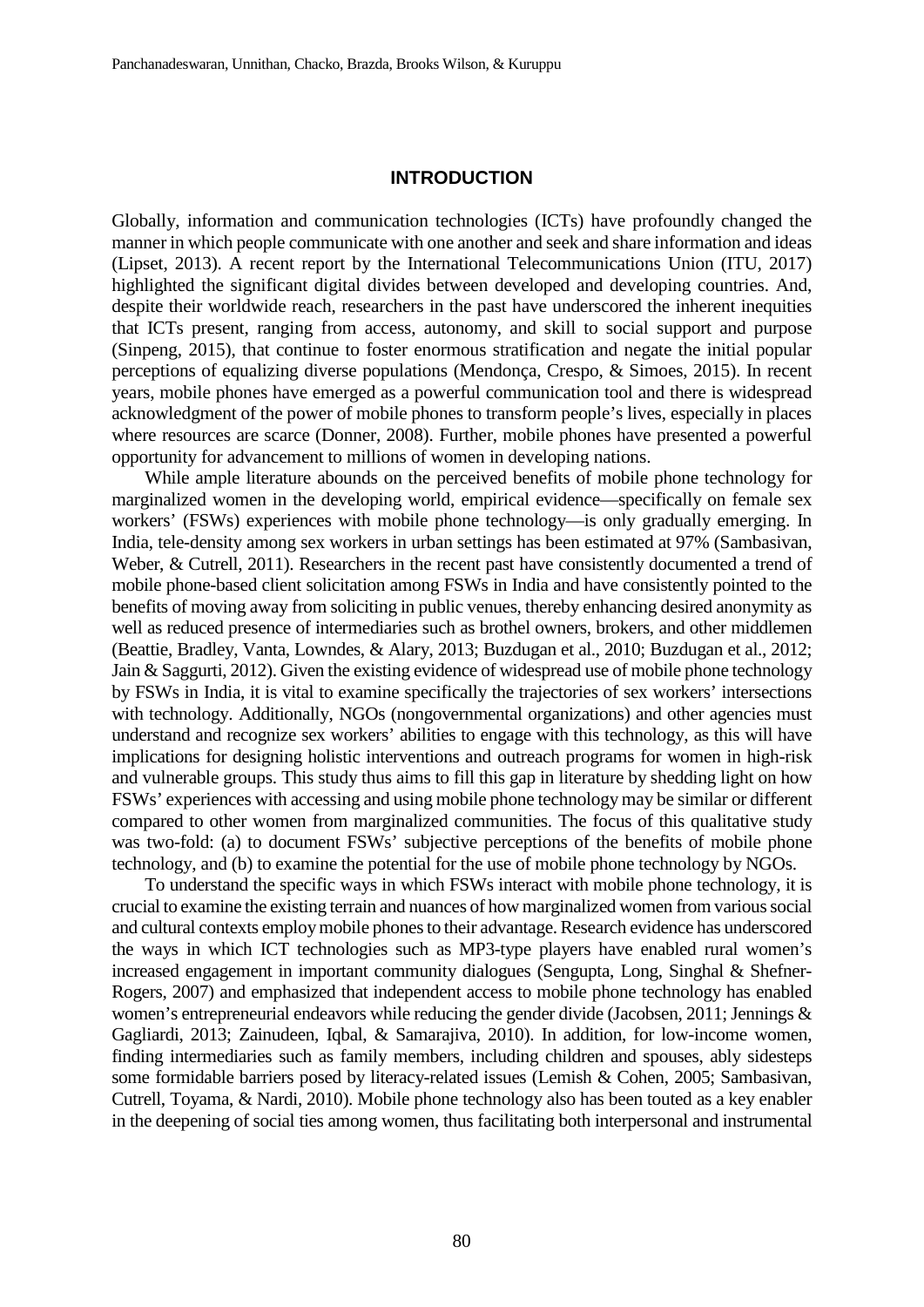#### **INTRODUCTION**

Globally, information and communication technologies (ICTs) have profoundly changed the manner in which people communicate with one another and seek and share information and ideas (Lipset, 2013). A recent report by the International Telecommunications Union (ITU, 2017) highlighted the significant digital divides between developed and developing countries. And, despite their worldwide reach, researchers in the past have underscored the inherent inequities that ICTs present, ranging from access, autonomy, and skill to social support and purpose (Sinpeng, 2015), that continue to foster enormous stratification and negate the initial popular perceptions of equalizing diverse populations (Mendonça, Crespo, & Simoes, 2015). In recent years, mobile phones have emerged as a powerful communication tool and there is widespread acknowledgment of the power of mobile phones to transform people's lives, especially in places where resources are scarce (Donner, 2008). Further, mobile phones have presented a powerful opportunity for advancement to millions of women in developing nations.

While ample literature abounds on the perceived benefits of mobile phone technology for marginalized women in the developing world, empirical evidence—specifically on female sex workers' (FSWs) experiences with mobile phone technology—is only gradually emerging. In India, tele-density among sex workers in urban settings has been estimated at 97% (Sambasivan, Weber, & Cutrell, 2011). Researchers in the recent past have consistently documented a trend of mobile phone-based client solicitation among FSWs in India and have consistently pointed to the benefits of moving away from soliciting in public venues, thereby enhancing desired anonymity as well as reduced presence of intermediaries such as brothel owners, brokers, and other middlemen (Beattie, Bradley, Vanta, Lowndes, & Alary, 2013; Buzdugan et al., 2010; Buzdugan et al., 2012; Jain & Saggurti, 2012). Given the existing evidence of widespread use of mobile phone technology by FSWs in India, it is vital to examine specifically the trajectories of sex workers' intersections with technology. Additionally, NGOs (nongovernmental organizations) and other agencies must understand and recognize sex workers' abilities to engage with this technology, as this will have implications for designing holistic interventions and outreach programs for women in high-risk and vulnerable groups. This study thus aims to fill this gap in literature by shedding light on how FSWs' experiences with accessing and using mobile phone technology may be similar or different compared to other women from marginalized communities. The focus of this qualitative study was two-fold: (a) to document FSWs' subjective perceptions of the benefits of mobile phone technology, and (b) to examine the potential for the use of mobile phone technology by NGOs.

To understand the specific ways in which FSWs interact with mobile phone technology, it is crucial to examine the existing terrain and nuances of how marginalized women from various social and cultural contexts employ mobile phones to their advantage. Research evidence has underscored the ways in which ICT technologies such as MP3-type players have enabled rural women's increased engagement in important community dialogues (Sengupta, Long, Singhal & Shefner-Rogers, 2007) and emphasized that independent access to mobile phone technology has enabled women's entrepreneurial endeavors while reducing the gender divide (Jacobsen, 2011; Jennings & Gagliardi, 2013; Zainudeen, Iqbal, & Samarajiva, 2010). In addition, for low-income women, finding intermediaries such as family members, including children and spouses, ably sidesteps some formidable barriers posed by literacy-related issues (Lemish & Cohen, 2005; Sambasivan, Cutrell, Toyama, & Nardi, 2010). Mobile phone technology also has been touted as a key enabler in the deepening of social ties among women, thus facilitating both interpersonal and instrumental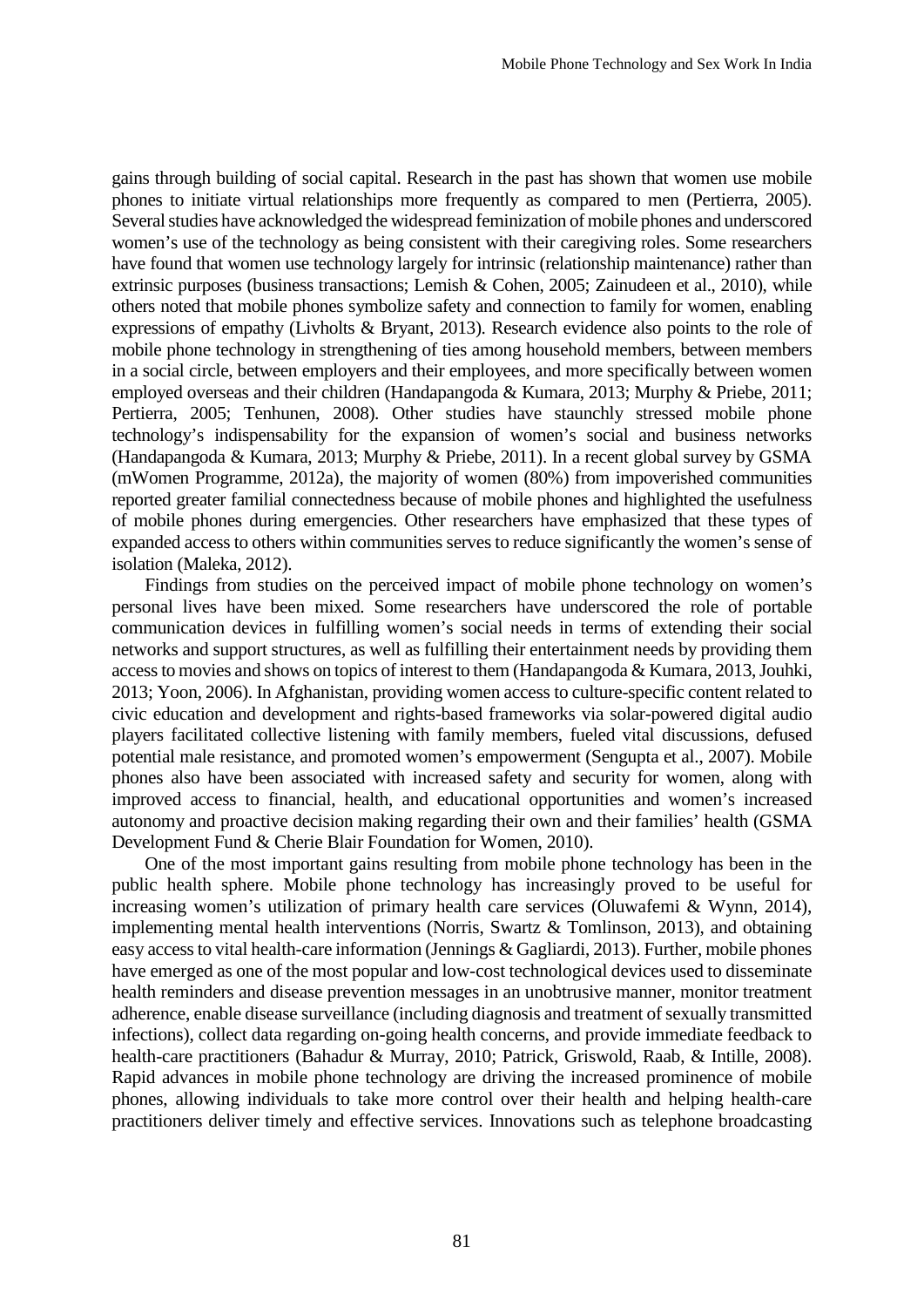gains through building of social capital. Research in the past has shown that women use mobile phones to initiate virtual relationships more frequently as compared to men (Pertierra, 2005). Several studies have acknowledged the widespread feminization of mobile phones and underscored women's use of the technology as being consistent with their caregiving roles. Some researchers have found that women use technology largely for intrinsic (relationship maintenance) rather than extrinsic purposes (business transactions; Lemish & Cohen, 2005; Zainudeen et al., 2010), while others noted that mobile phones symbolize safety and connection to family for women, enabling expressions of empathy (Livholts & Bryant, 2013). Research evidence also points to the role of mobile phone technology in strengthening of ties among household members, between members in a social circle, between employers and their employees, and more specifically between women employed overseas and their children (Handapangoda & Kumara, 2013; Murphy & Priebe, 2011; Pertierra, 2005; Tenhunen, 2008). Other studies have staunchly stressed mobile phone technology's indispensability for the expansion of women's social and business networks (Handapangoda & Kumara, 2013; Murphy & Priebe, 2011). In a recent global survey by GSMA (mWomen Programme, 2012a), the majority of women (80%) from impoverished communities reported greater familial connectedness because of mobile phones and highlighted the usefulness of mobile phones during emergencies. Other researchers have emphasized that these types of expanded access to others within communities serves to reduce significantly the women's sense of isolation (Maleka, 2012).

Findings from studies on the perceived impact of mobile phone technology on women's personal lives have been mixed. Some researchers have underscored the role of portable communication devices in fulfilling women's social needs in terms of extending their social networks and support structures, as well as fulfilling their entertainment needs by providing them access to movies and shows on topics of interest to them (Handapangoda & Kumara, 2013, Jouhki, 2013; Yoon, 2006). In Afghanistan, providing women access to culture-specific content related to civic education and development and rights-based frameworks via solar-powered digital audio players facilitated collective listening with family members, fueled vital discussions, defused potential male resistance, and promoted women's empowerment (Sengupta et al., 2007). Mobile phones also have been associated with increased safety and security for women, along with improved access to financial, health, and educational opportunities and women's increased autonomy and proactive decision making regarding their own and their families' health (GSMA Development Fund & Cherie Blair Foundation for Women, 2010).

One of the most important gains resulting from mobile phone technology has been in the public health sphere. Mobile phone technology has increasingly proved to be useful for increasing women's utilization of primary health care services (Oluwafemi & Wynn, 2014), implementing mental health interventions (Norris, Swartz & Tomlinson, 2013), and obtaining easy access to vital health-care information (Jennings & Gagliardi, 2013). Further, mobile phones have emerged as one of the most popular and low-cost technological devices used to disseminate health reminders and disease prevention messages in an unobtrusive manner, monitor treatment adherence, enable disease surveillance (including diagnosis and treatment of sexually transmitted infections), collect data regarding on-going health concerns, and provide immediate feedback to health-care practitioners (Bahadur & Murray, 2010; Patrick, Griswold, Raab, & Intille, 2008). Rapid advances in mobile phone technology are driving the increased prominence of mobile phones, allowing individuals to take more control over their health and helping health-care practitioners deliver timely and effective services. Innovations such as telephone broadcasting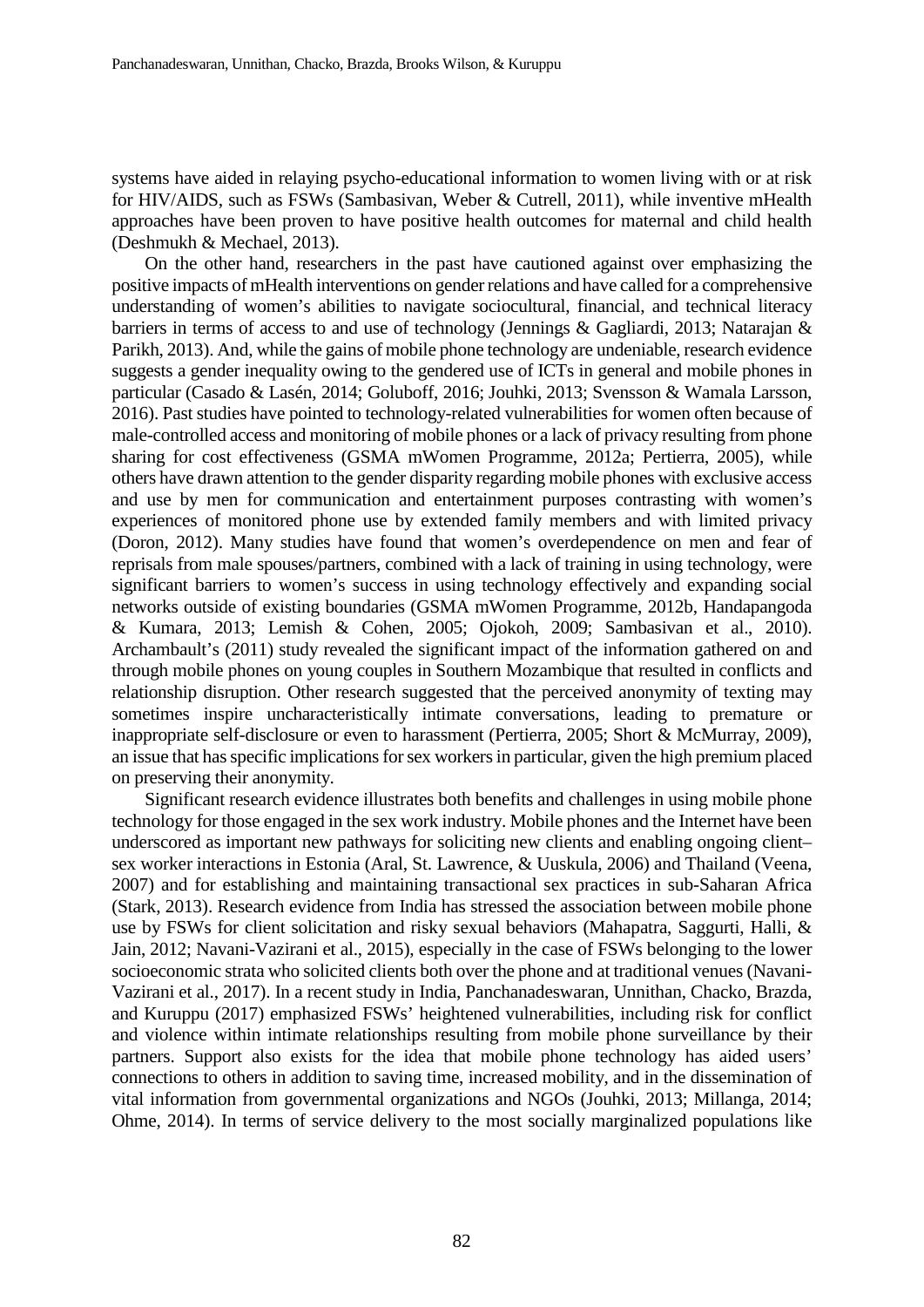systems have aided in relaying psycho-educational information to women living with or at risk for HIV/AIDS, such as FSWs (Sambasivan, Weber & Cutrell, 2011), while inventive mHealth approaches have been proven to have positive health outcomes for maternal and child health (Deshmukh & Mechael, 2013).

On the other hand, researchers in the past have cautioned against over emphasizing the positive impacts of mHealth interventions on gender relations and have called for a comprehensive understanding of women's abilities to navigate sociocultural, financial, and technical literacy barriers in terms of access to and use of technology (Jennings & Gagliardi, 2013; Natarajan & Parikh, 2013). And, while the gains of mobile phone technology are undeniable, research evidence suggests a gender inequality owing to the gendered use of ICTs in general and mobile phones in particular (Casado & Lasén, 2014; Goluboff, 2016; Jouhki, 2013; Svensson & Wamala Larsson, 2016). Past studies have pointed to technology-related vulnerabilities for women often because of male-controlled access and monitoring of mobile phones or a lack of privacy resulting from phone sharing for cost effectiveness (GSMA mWomen Programme, 2012a; Pertierra, 2005), while others have drawn attention to the gender disparity regarding mobile phones with exclusive access and use by men for communication and entertainment purposes contrasting with women's experiences of monitored phone use by extended family members and with limited privacy (Doron, 2012). Many studies have found that women's overdependence on men and fear of reprisals from male spouses/partners, combined with a lack of training in using technology, were significant barriers to women's success in using technology effectively and expanding social networks outside of existing boundaries (GSMA mWomen Programme, 2012b, Handapangoda & Kumara, 2013; Lemish & Cohen, 2005; Ojokoh, 2009; Sambasivan et al., 2010). Archambault's (2011) study revealed the significant impact of the information gathered on and through mobile phones on young couples in Southern Mozambique that resulted in conflicts and relationship disruption. Other research suggested that the perceived anonymity of texting may sometimes inspire uncharacteristically intimate conversations, leading to premature or inappropriate self-disclosure or even to harassment (Pertierra, 2005; Short & McMurray, 2009), an issue that has specific implications for sex workers in particular, given the high premium placed on preserving their anonymity.

Significant research evidence illustrates both benefits and challenges in using mobile phone technology for those engaged in the sex work industry. Mobile phones and the Internet have been underscored as important new pathways for soliciting new clients and enabling ongoing client– sex worker interactions in Estonia (Aral, St. Lawrence, & Uuskula, 2006) and Thailand (Veena, 2007) and for establishing and maintaining transactional sex practices in sub-Saharan Africa (Stark, 2013). Research evidence from India has stressed the association between mobile phone use by FSWs for client solicitation and risky sexual behaviors (Mahapatra, Saggurti, Halli, & Jain, 2012; Navani-Vazirani et al., 2015), especially in the case of FSWs belonging to the lower socioeconomic strata who solicited clients both over the phone and at traditional venues (Navani-Vazirani et al., 2017). In a recent study in India, Panchanadeswaran, Unnithan, Chacko, Brazda, and Kuruppu (2017) emphasized FSWs' heightened vulnerabilities, including risk for conflict and violence within intimate relationships resulting from mobile phone surveillance by their partners. Support also exists for the idea that mobile phone technology has aided users' connections to others in addition to saving time, increased mobility, and in the dissemination of vital information from governmental organizations and NGOs (Jouhki, 2013; Millanga, 2014; Ohme, 2014). In terms of service delivery to the most socially marginalized populations like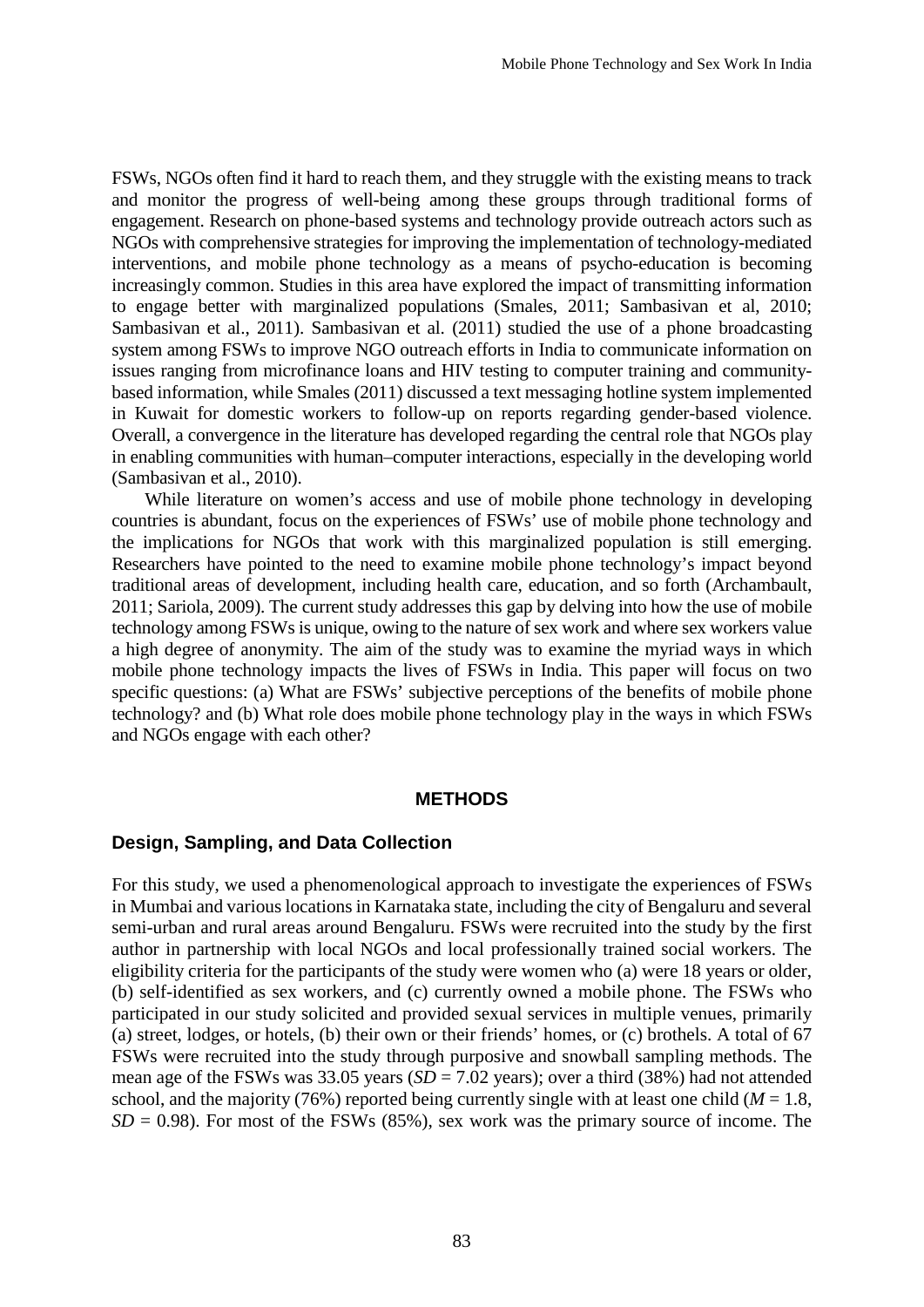FSWs, NGOs often find it hard to reach them, and they struggle with the existing means to track and monitor the progress of well-being among these groups through traditional forms of engagement. Research on phone-based systems and technology provide outreach actors such as NGOs with comprehensive strategies for improving the implementation of technology-mediated interventions, and mobile phone technology as a means of psycho-education is becoming increasingly common. Studies in this area have explored the impact of transmitting information to engage better with marginalized populations (Smales, 2011; Sambasivan et al, 2010; Sambasivan et al., 2011). Sambasivan et al. (2011) studied the use of a phone broadcasting system among FSWs to improve NGO outreach efforts in India to communicate information on issues ranging from microfinance loans and HIV testing to computer training and communitybased information, while Smales (2011) discussed a text messaging hotline system implemented in Kuwait for domestic workers to follow-up on reports regarding gender-based violence. Overall, a convergence in the literature has developed regarding the central role that NGOs play in enabling communities with human–computer interactions, especially in the developing world (Sambasivan et al., 2010).

While literature on women's access and use of mobile phone technology in developing countries is abundant, focus on the experiences of FSWs' use of mobile phone technology and the implications for NGOs that work with this marginalized population is still emerging. Researchers have pointed to the need to examine mobile phone technology's impact beyond traditional areas of development, including health care, education, and so forth (Archambault, 2011; Sariola, 2009). The current study addresses this gap by delving into how the use of mobile technology among FSWs is unique, owing to the nature of sex work and where sex workers value a high degree of anonymity. The aim of the study was to examine the myriad ways in which mobile phone technology impacts the lives of FSWs in India. This paper will focus on two specific questions: (a) What are FSWs' subjective perceptions of the benefits of mobile phone technology? and (b) What role does mobile phone technology play in the ways in which FSWs and NGOs engage with each other?

#### **METHODS**

### **Design, Sampling, and Data Collection**

For this study, we used a phenomenological approach to investigate the experiences of FSWs in Mumbai and various locations in Karnataka state, including the city of Bengaluru and several semi-urban and rural areas around Bengaluru. FSWs were recruited into the study by the first author in partnership with local NGOs and local professionally trained social workers. The eligibility criteria for the participants of the study were women who (a) were 18 years or older, (b) self-identified as sex workers, and (c) currently owned a mobile phone. The FSWs who participated in our study solicited and provided sexual services in multiple venues, primarily (a) street, lodges, or hotels, (b) their own or their friends' homes, or (c) brothels. A total of 67 FSWs were recruited into the study through purposive and snowball sampling methods. The mean age of the FSWs was 33.05 years (*SD* = 7.02 years); over a third (38%) had not attended school, and the majority (76%) reported being currently single with at least one child ( $M = 1.8$ ,  $SD = 0.98$ ). For most of the FSWs (85%), sex work was the primary source of income. The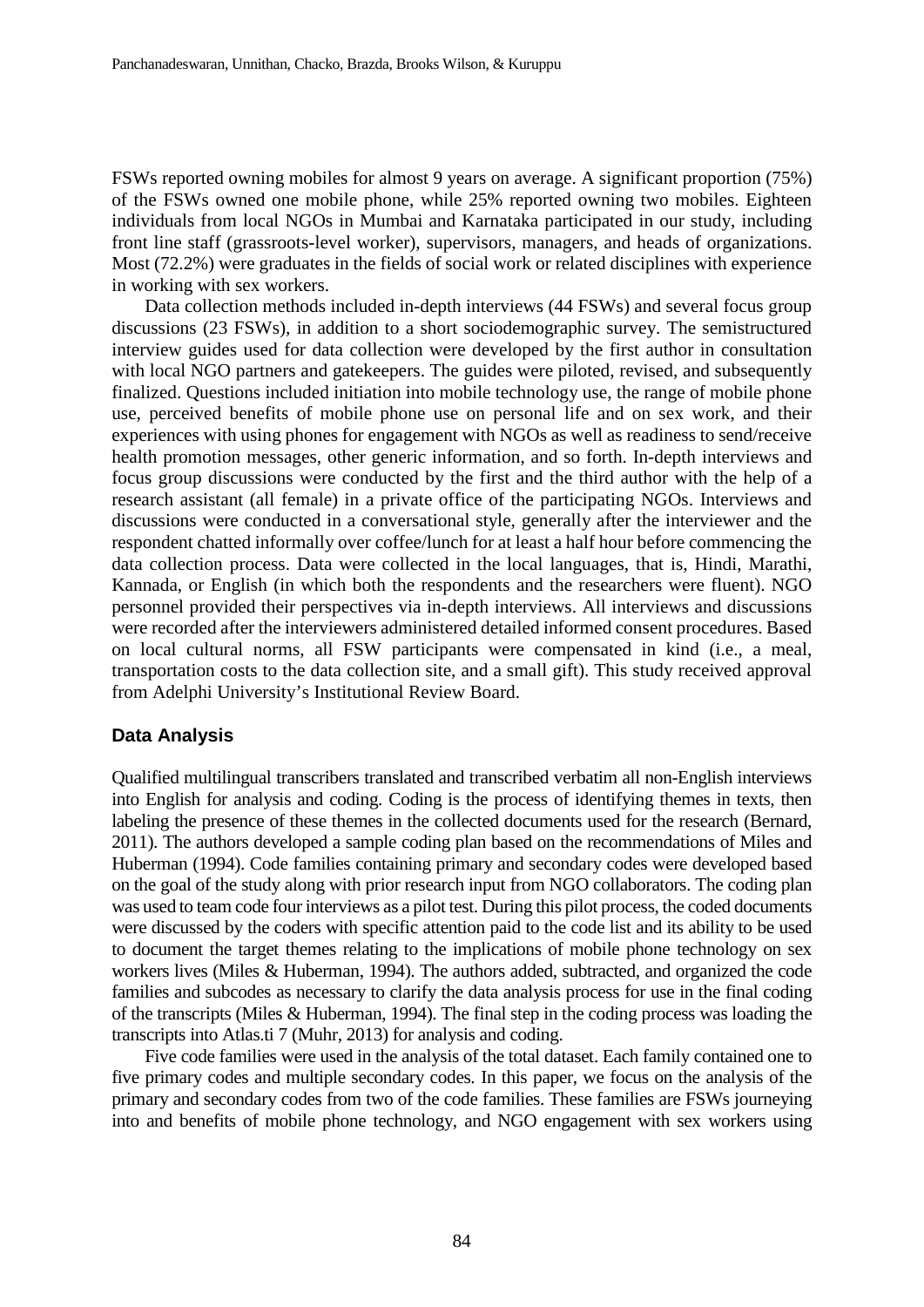FSWs reported owning mobiles for almost 9 years on average. A significant proportion (75%) of the FSWs owned one mobile phone, while 25% reported owning two mobiles. Eighteen individuals from local NGOs in Mumbai and Karnataka participated in our study, including front line staff (grassroots-level worker), supervisors, managers, and heads of organizations. Most (72.2%) were graduates in the fields of social work or related disciplines with experience in working with sex workers.

Data collection methods included in-depth interviews (44 FSWs) and several focus group discussions (23 FSWs), in addition to a short sociodemographic survey. The semistructured interview guides used for data collection were developed by the first author in consultation with local NGO partners and gatekeepers. The guides were piloted, revised, and subsequently finalized. Questions included initiation into mobile technology use, the range of mobile phone use, perceived benefits of mobile phone use on personal life and on sex work, and their experiences with using phones for engagement with NGOs as well as readiness to send/receive health promotion messages, other generic information, and so forth. In-depth interviews and focus group discussions were conducted by the first and the third author with the help of a research assistant (all female) in a private office of the participating NGOs. Interviews and discussions were conducted in a conversational style, generally after the interviewer and the respondent chatted informally over coffee/lunch for at least a half hour before commencing the data collection process. Data were collected in the local languages, that is, Hindi, Marathi, Kannada, or English (in which both the respondents and the researchers were fluent). NGO personnel provided their perspectives via in-depth interviews. All interviews and discussions were recorded after the interviewers administered detailed informed consent procedures. Based on local cultural norms, all FSW participants were compensated in kind (i.e., a meal, transportation costs to the data collection site, and a small gift). This study received approval from Adelphi University's Institutional Review Board.

# **Data Analysis**

Qualified multilingual transcribers translated and transcribed verbatim all non-English interviews into English for analysis and coding. Coding is the process of identifying themes in texts, then labeling the presence of these themes in the collected documents used for the research (Bernard, 2011). The authors developed a sample coding plan based on the recommendations of Miles and Huberman (1994). Code families containing primary and secondary codes were developed based on the goal of the study along with prior research input from NGO collaborators. The coding plan was used to team code four interviews as a pilot test. During this pilot process, the coded documents were discussed by the coders with specific attention paid to the code list and its ability to be used to document the target themes relating to the implications of mobile phone technology on sex workers lives (Miles & Huberman, 1994). The authors added, subtracted, and organized the code families and subcodes as necessary to clarify the data analysis process for use in the final coding of the transcripts (Miles & Huberman, 1994). The final step in the coding process was loading the transcripts into Atlas.ti 7 (Muhr, 2013) for analysis and coding.

Five code families were used in the analysis of the total dataset. Each family contained one to five primary codes and multiple secondary codes. In this paper, we focus on the analysis of the primary and secondary codes from two of the code families. These families are FSWs journeying into and benefits of mobile phone technology, and NGO engagement with sex workers using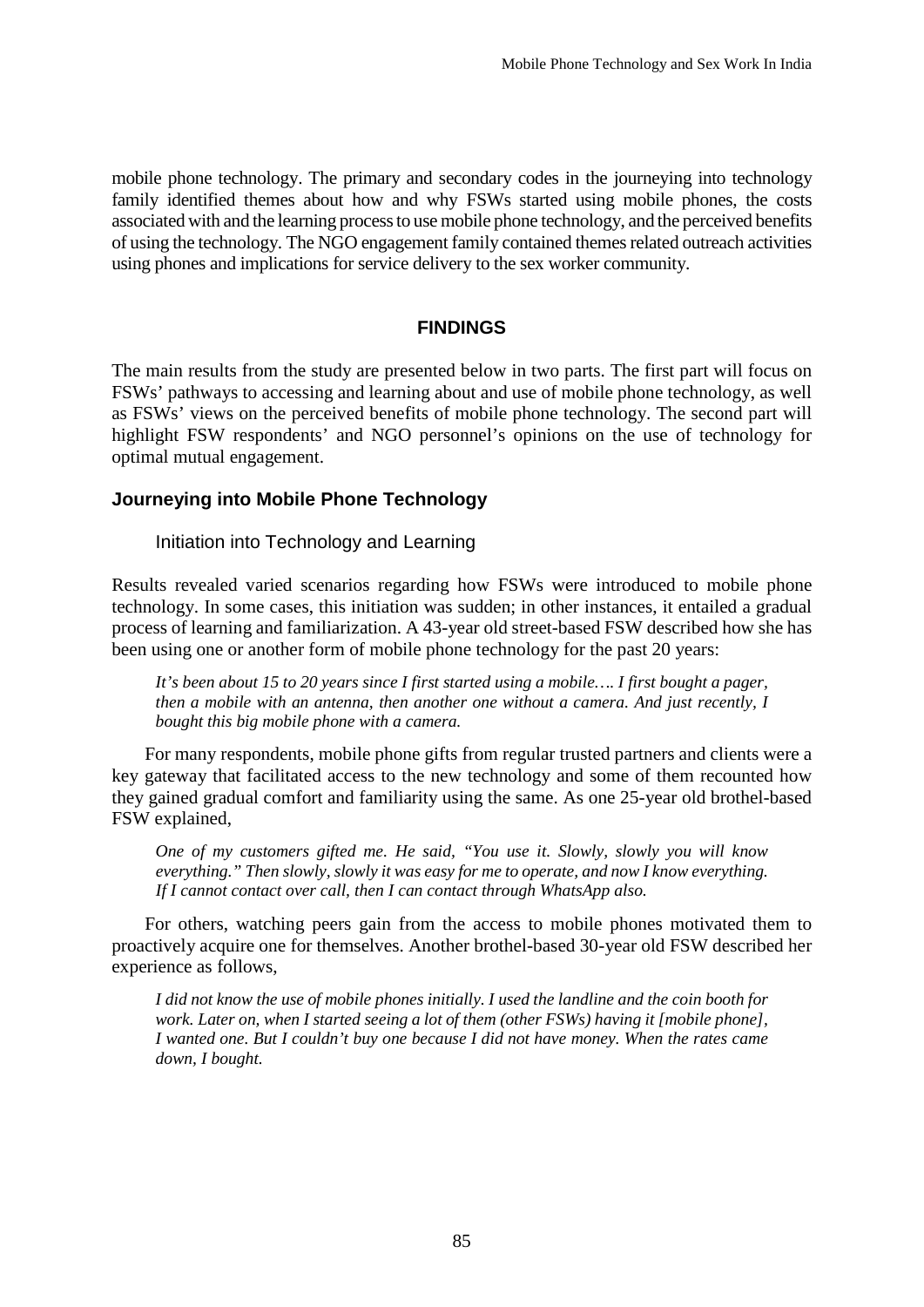mobile phone technology. The primary and secondary codes in the journeying into technology family identified themes about how and why FSWs started using mobile phones, the costs associated with and the learning process to use mobile phone technology, and the perceived benefits of using the technology. The NGO engagement family contained themes related outreach activities using phones and implications for service delivery to the sex worker community.

## **FINDINGS**

The main results from the study are presented below in two parts. The first part will focus on FSWs' pathways to accessing and learning about and use of mobile phone technology, as well as FSWs' views on the perceived benefits of mobile phone technology. The second part will highlight FSW respondents' and NGO personnel's opinions on the use of technology for optimal mutual engagement.

# **Journeying into Mobile Phone Technology**

Initiation into Technology and Learning

Results revealed varied scenarios regarding how FSWs were introduced to mobile phone technology. In some cases, this initiation was sudden; in other instances, it entailed a gradual process of learning and familiarization. A 43-year old street-based FSW described how she has been using one or another form of mobile phone technology for the past 20 years:

It's been about 15 to 20 years since I first started using a mobile.... I first bought a pager, *then a mobile with an antenna, then another one without a camera. And just recently, I bought this big mobile phone with a camera.*

For many respondents, mobile phone gifts from regular trusted partners and clients were a key gateway that facilitated access to the new technology and some of them recounted how they gained gradual comfort and familiarity using the same. As one 25-year old brothel-based FSW explained,

*One of my customers gifted me. He said, "You use it. Slowly, slowly you will know everything." Then slowly, slowly it was easy for me to operate, and now I know everything. If I cannot contact over call, then I can contact through WhatsApp also.*

For others, watching peers gain from the access to mobile phones motivated them to proactively acquire one for themselves. Another brothel-based 30-year old FSW described her experience as follows,

I did not know the use of mobile phones initially. I used the landline and the coin booth for *work. Later on, when I started seeing a lot of them (other FSWs) having it [mobile phone], I wanted one. But I couldn't buy one because I did not have money. When the rates came down, I bought.*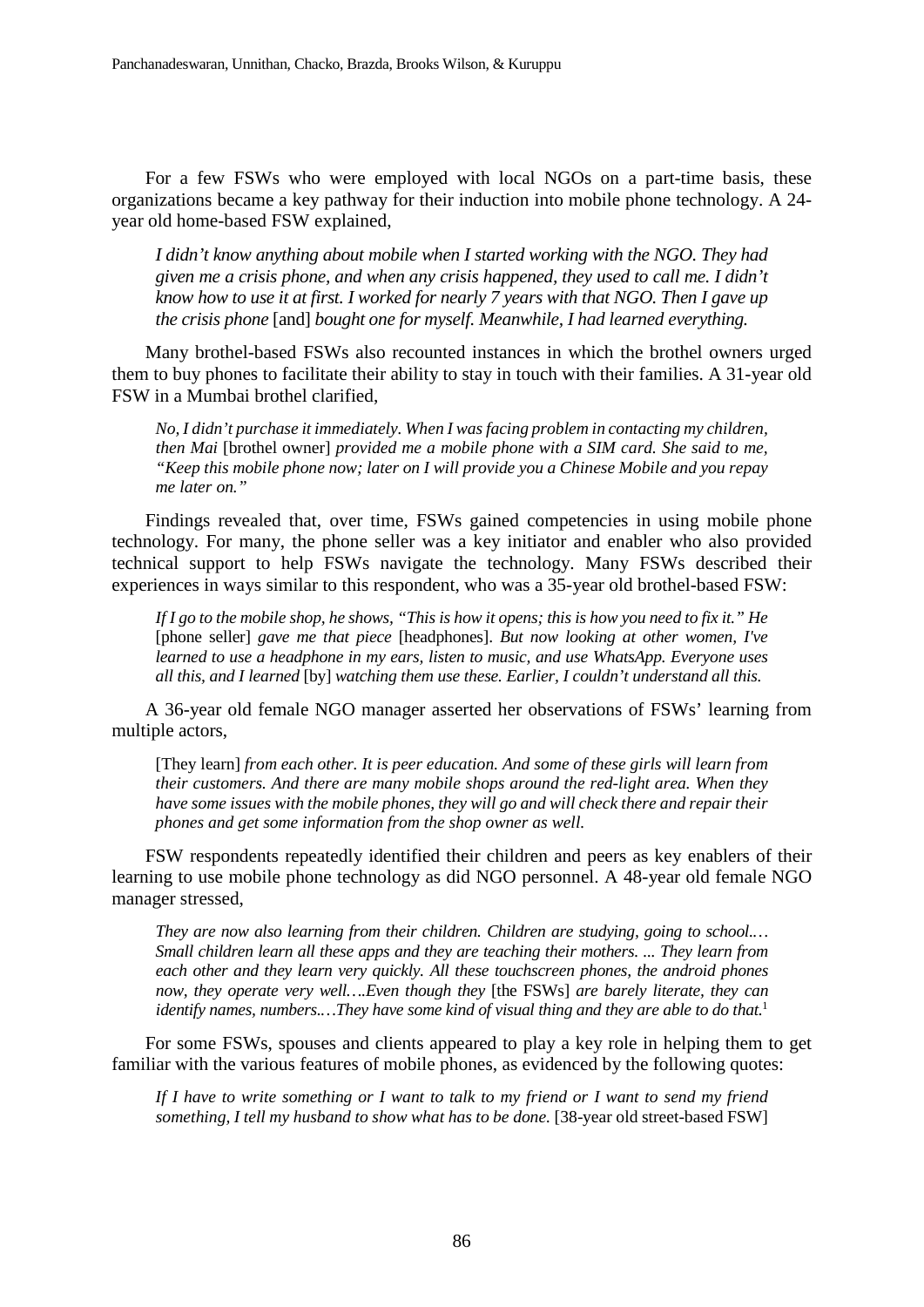For a few FSWs who were employed with local NGOs on a part-time basis, these organizations became a key pathway for their induction into mobile phone technology. A 24 year old home-based FSW explained,

*I didn't know anything about mobile when I started working with the NGO. They had given me a crisis phone, and when any crisis happened, they used to call me. I didn't* know how to use it at first. I worked for nearly 7 years with that NGO. Then I gave up *the crisis phone* [and] *bought one for myself. Meanwhile, I had learned everything.*

Many brothel-based FSWs also recounted instances in which the brothel owners urged them to buy phones to facilitate their ability to stay in touch with their families. A 31-year old FSW in a Mumbai brothel clarified,

*No, I didn't purchase it immediately. When I wasfacing problem in contacting my children, then Mai* [brothel owner] *provided me a mobile phone with a SIM card. She said to me, "Keep this mobile phone now; later on I will provide you a Chinese Mobile and you repay me later on."*

Findings revealed that, over time, FSWs gained competencies in using mobile phone technology. For many, the phone seller was a key initiator and enabler who also provided technical support to help FSWs navigate the technology. Many FSWs described their experiences in ways similar to this respondent, who was a 35-year old brothel-based FSW:

If I go to the mobile shop, he shows, "This is how it opens; this is how you need to fix it." He [phone seller] *gave me that piece* [headphones]. *But now looking at other women, I've learned to use a headphone in my ears, listen to music, and use WhatsApp. Everyone uses all this, and I learned* [by] *watching them use these. Earlier, I couldn't understand all this.*

A 36-year old female NGO manager asserted her observations of FSWs' learning from multiple actors,

[They learn] *from each other. It is peer education. And some of these girls will learn from their customers. And there are many mobile shops around the red-light area. When they have some issues with the mobile phones, they will go and will check there and repair their phones and get some information from the shop owner as well.*

FSW respondents repeatedly identified their children and peers as key enablers of their learning to use mobile phone technology as did NGO personnel. A 48-year old female NGO manager stressed,

*They are now also learning from their children. Children are studying, going to school.… Small children learn all these apps and they are teaching their mothers. ... They learn from each other and they learn very quickly. All these touchscreen phones, the android phones now, they operate very well….Even though they* [the FSWs] *are barely literate, they can identify names, numbers.…They have some kind of visual thing and they are able to do that.*<sup>1</sup>

For some FSWs, spouses and clients appeared to play a key role in helping them to get familiar with the various features of mobile phones, as evidenced by the following quotes:

If I have to write something or I want to talk to my friend or I want to send my friend *something, I tell my husband to show what has to be done.* [38-year old street-based FSW]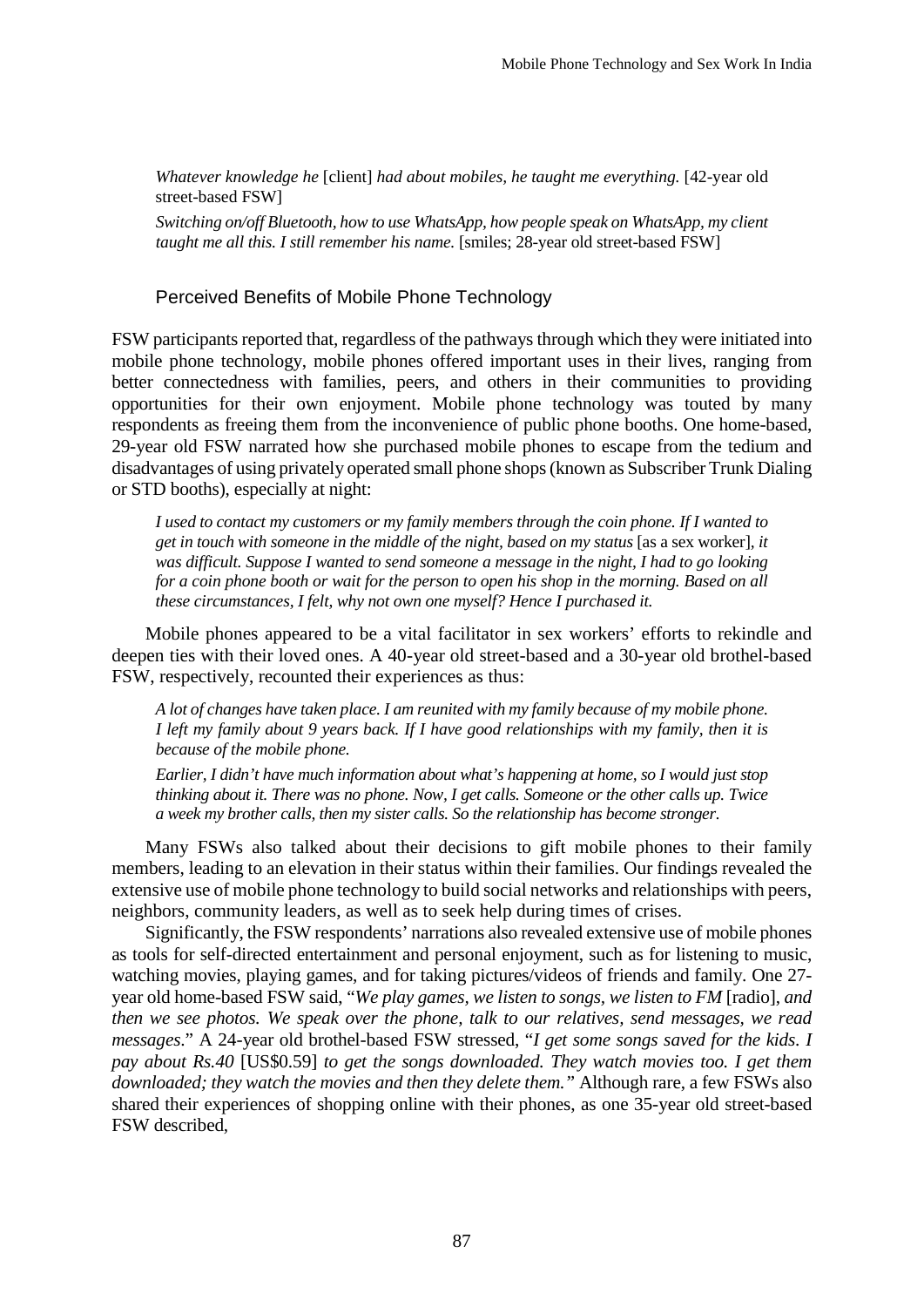*Whatever knowledge he* [client] *had about mobiles, he taught me everything.* [42-year old street-based FSW]

*Switching on/off Bluetooth, how to use WhatsApp, how people speak on WhatsApp, my client taught me all this. I still remember his name.* [smiles; 28-year old street-based FSW]

### Perceived Benefits of Mobile Phone Technology

FSW participants reported that, regardless of the pathwaysthrough which they were initiated into mobile phone technology, mobile phones offered important uses in their lives, ranging from better connectedness with families, peers, and others in their communities to providing opportunities for their own enjoyment. Mobile phone technology was touted by many respondents as freeing them from the inconvenience of public phone booths. One home-based, 29-year old FSW narrated how she purchased mobile phones to escape from the tedium and disadvantages of using privately operated small phone shops(known as Subscriber Trunk Dialing or STD booths), especially at night:

*I used to contact my customers or my family members through the coin phone. If I wanted to get in touch with someone in the middle of the night, based on my status* [as a sex worker]*, it was difficult. Suppose I wanted to send someone a message in the night, I had to go looking* for a coin phone booth or wait for the person to open his shop in the morning. Based on all *these circumstances, I felt, why not own one myself? Hence I purchased it.*

Mobile phones appeared to be a vital facilitator in sex workers' efforts to rekindle and deepen ties with their loved ones. A 40-year old street-based and a 30-year old brothel-based FSW, respectively, recounted their experiences as thus:

*A lot of changes have taken place. I am reunited with my family because of my mobile phone.* I left my family about 9 years back. If I have good relationships with my family, then it is *because of the mobile phone.*

*Earlier, I didn't have much information about what's happening at home, so I would just stop thinking about it. There was no phone. Now, I get calls. Someone or the other calls up. Twice a week my brother calls, then my sister calls. So the relationship has become stronger.*

Many FSWs also talked about their decisions to gift mobile phones to their family members, leading to an elevation in their status within their families. Our findings revealed the extensive use of mobile phone technology to build social networks and relationships with peers, neighbors, community leaders, as well as to seek help during times of crises.

Significantly, the FSW respondents' narrations also revealed extensive use of mobile phones as tools for self-directed entertainment and personal enjoyment, such as for listening to music, watching movies, playing games, and for taking pictures/videos of friends and family. One 27 year old home-based FSW said, "*We play games, we listen to songs, we listen to FM* [radio], *and then we see photos. We speak over the phone, talk to our relatives, send messages, we read messages*." A 24-year old brothel-based FSW stressed, "*I get some songs saved for the kids. I pay about Rs.40* [US\$0.59] *to get the songs downloaded. They watch movies too. I get them downloaded; they watch the movies and then they delete them."* Although rare, a few FSWs also shared their experiences of shopping online with their phones, as one 35-year old street-based FSW described,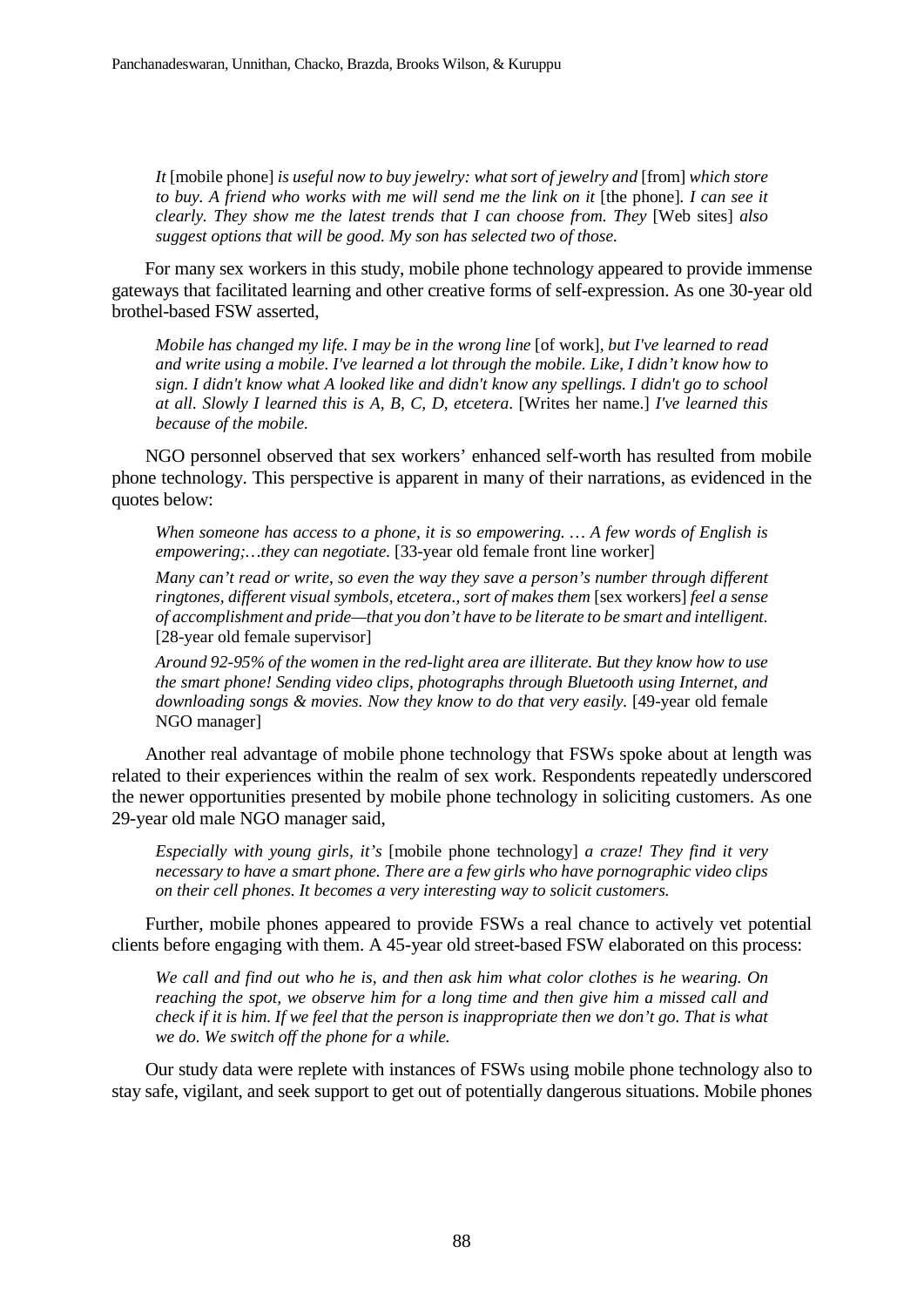*It* [mobile phone] *is useful now to buy jewelry: what sort of jewelry and* [from] *which store* to buy. A friend who works with me will send me the link on it [the phone]. I can see it *clearly. They show me the latest trends that I can choose from. They* [Web sites] *also suggest options that will be good. My son has selected two of those.*

For many sex workers in this study, mobile phone technology appeared to provide immense gateways that facilitated learning and other creative forms of self-expression. As one 30-year old brothel-based FSW asserted,

*Mobile has changed my life. I may be in the wrong line* [of work]*, but I've learned to read and write using a mobile. I've learned a lot through the mobile. Like, I didn't know how to sign. I didn't know what A looked like and didn't know any spellings. I didn't go to school at all. Slowly I learned this is A, B, C, D, etcetera*. [Writes her name.] *I've learned this because of the mobile.*

NGO personnel observed that sex workers' enhanced self-worth has resulted from mobile phone technology. This perspective is apparent in many of their narrations, as evidenced in the quotes below:

*When someone has access to a phone, it is so empowering. … A few words of English is empowering;…they can negotiate.* [33-year old female front line worker]

*Many can't read or write, so even the way they save a person's number through different ringtones, different visual symbols, etcetera., sort of makes them* [sex workers] *feel a sense of accomplishment and pride—that you don't have to be literate to be smart and intelligent.* [28-year old female supervisor]

*Around 92-95% of the women in the red-light area are illiterate. But they know how to use the smart phone! Sending video clips, photographs through Bluetooth using Internet, and downloading songs & movies. Now they know to do that very easily.* [49-year old female NGO manager]

Another real advantage of mobile phone technology that FSWs spoke about at length was related to their experiences within the realm of sex work. Respondents repeatedly underscored the newer opportunities presented by mobile phone technology in soliciting customers. As one 29-year old male NGO manager said,

*Especially with young girls, it's* [mobile phone technology] *a craze! They find it very necessary to have a smart phone. There are a few girls who have pornographic video clips on their cell phones. It becomes a very interesting way to solicit customers.*

Further, mobile phones appeared to provide FSWs a real chance to actively vet potential clients before engaging with them. A 45-year old street-based FSW elaborated on this process:

*We call and find out who he is, and then ask him what color clothes is he wearing. On reaching the spot, we observe him for a long time and then give him a missed call and* check if it is him. If we feel that the person is inappropriate then we don't go. That is what *we do. We switch off the phone for a while.*

Our study data were replete with instances of FSWs using mobile phone technology also to stay safe, vigilant, and seek support to get out of potentially dangerous situations. Mobile phones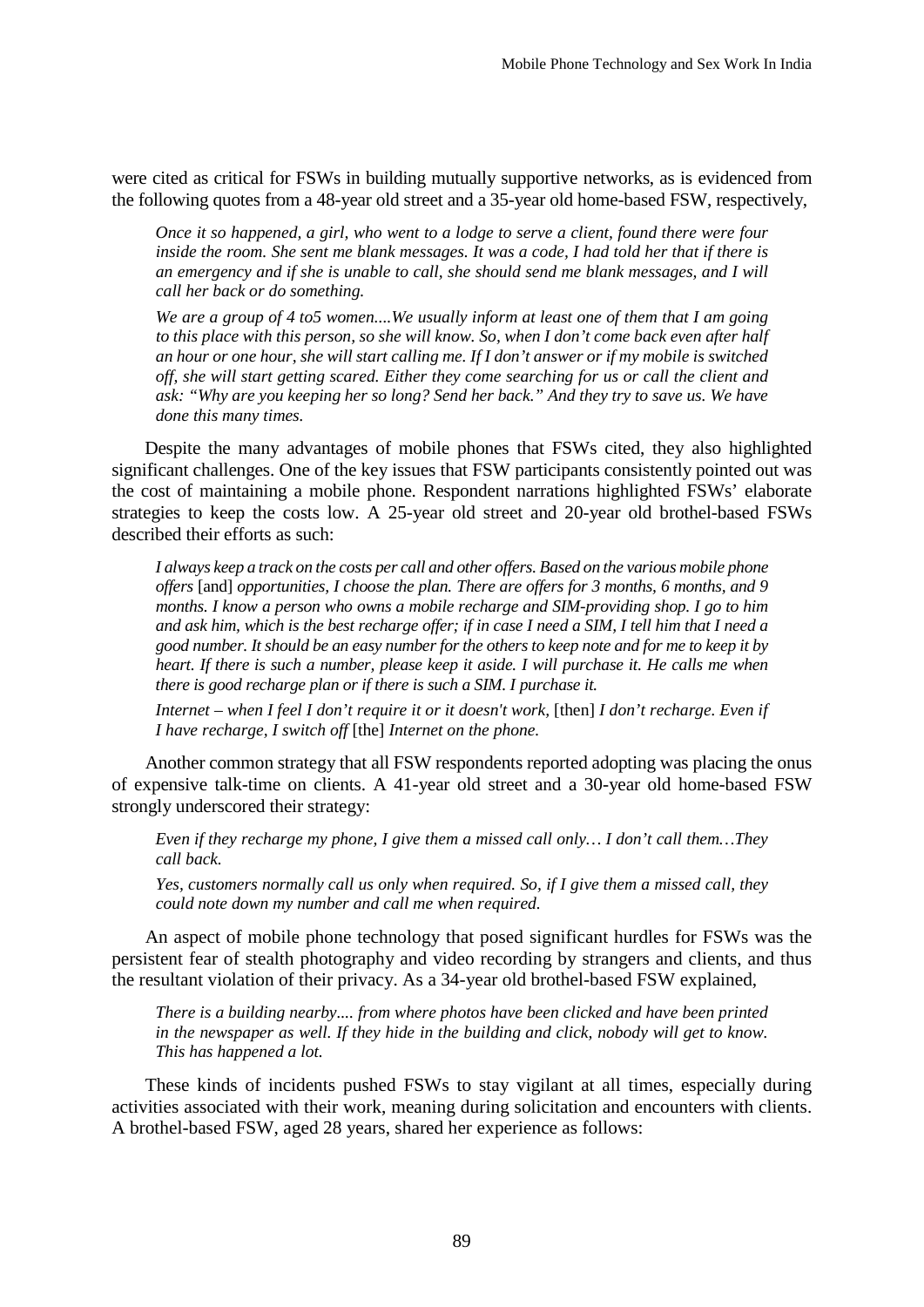were cited as critical for FSWs in building mutually supportive networks, as is evidenced from the following quotes from a 48-year old street and a 35-year old home-based FSW, respectively,

*Once it so happened, a girl, who went to a lodge to serve a client, found there were four* inside the room. She sent me blank messages. It was a code, I had told her that if there is *an emergency and if she is unable to call, she should send me blank messages, and I will call her back or do something.*

*We are a group of 4 to5 women....We usually inform at least one of them that I am going* to this place with this person, so she will know. So, when I don't come back even after half an hour or one hour, she will start calling me. If I don't answer or if my mobile is switched *off, she will start getting scared. Either they come searching for us or call the client and ask: "Why are you keeping her so long? Send her back." And they try to save us. We have done this many times.*

Despite the many advantages of mobile phones that FSWs cited, they also highlighted significant challenges. One of the key issues that FSW participants consistently pointed out was the cost of maintaining a mobile phone. Respondent narrations highlighted FSWs' elaborate strategies to keep the costs low. A 25-year old street and 20-year old brothel-based FSWs described their efforts as such:

I always keep a track on the costs per call and other offers. Based on the various mobile phone *offers* [and] *opportunities, I choose the plan. There are offers for 3 months, 6 months, and 9 months. I know a person who owns a mobile recharge and SIM-providing shop. I go to him* and ask him, which is the best recharge offer; if in case I need a SIM, I tell him that I need a good number. It should be an easy number for the others to keep note and for me to keep it by heart. If there is such a number, please keep it aside. I will purchase it. He calls me when *there is good recharge plan or if there is such a SIM. I purchase it.*

*Internet – when I feel I don't require it or it doesn't work,* [then] *I don't recharge. Even if I have recharge, I switch off* [the] *Internet on the phone.*

Another common strategy that all FSW respondents reported adopting was placing the onus of expensive talk-time on clients. A 41-year old street and a 30-year old home-based FSW strongly underscored their strategy:

*Even if they recharge my phone, I give them a missed call only… I don't call them…They call back.*

*Yes, customers normally call us only when required. So, if I give them a missed call, they could note down my number and call me when required.*

An aspect of mobile phone technology that posed significant hurdles for FSWs was the persistent fear of stealth photography and video recording by strangers and clients, and thus the resultant violation of their privacy. As a 34-year old brothel-based FSW explained,

*There is a building nearby.... from where photos have been clicked and have been printed in the newspaper as well. If they hide in the building and click, nobody will get to know. This has happened a lot.*

These kinds of incidents pushed FSWs to stay vigilant at all times, especially during activities associated with their work, meaning during solicitation and encounters with clients. A brothel-based FSW, aged 28 years, shared her experience as follows: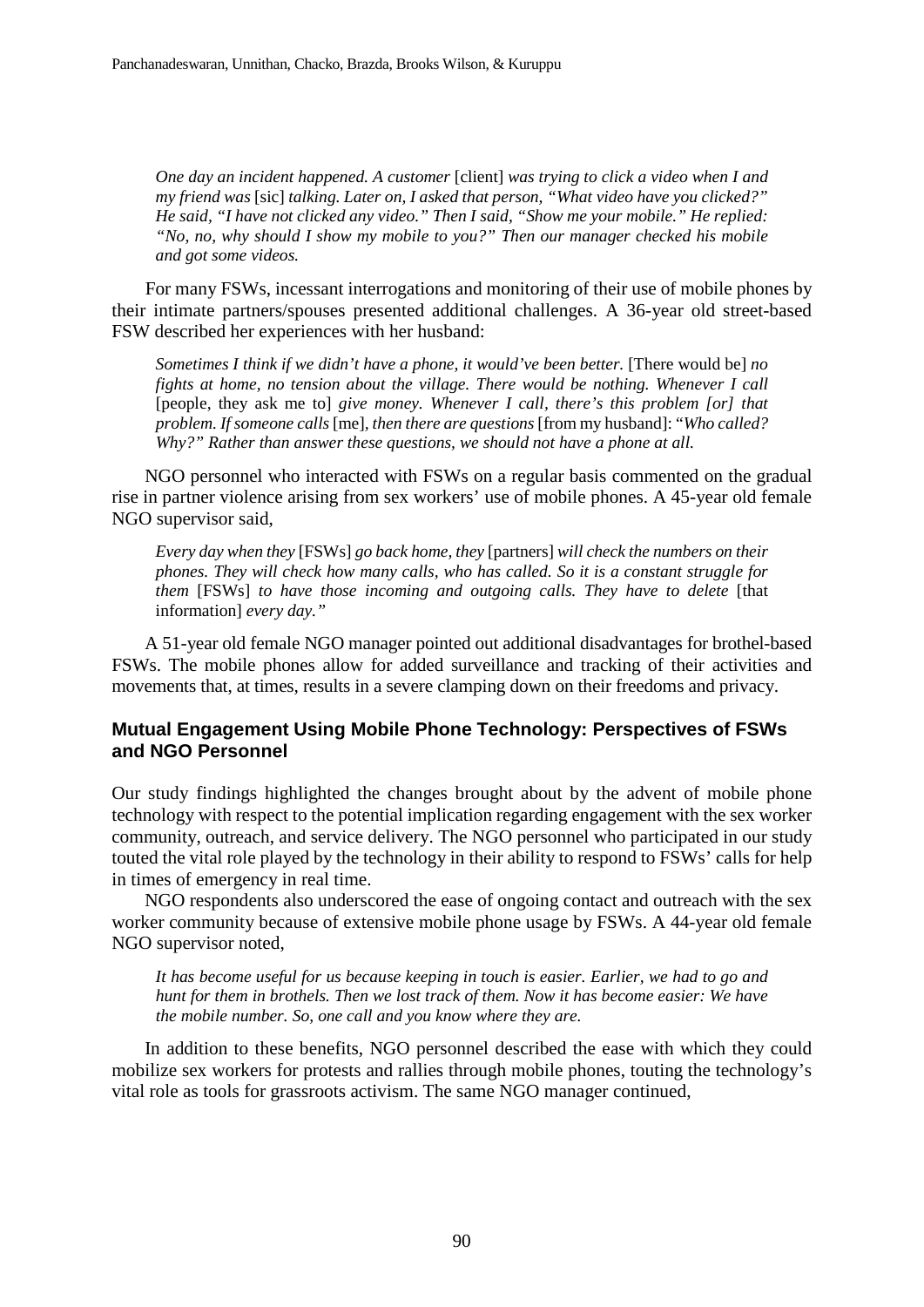*One day an incident happened. A customer* [client] *was trying to click a video when I and my friend was* [sic] *talking. Later on, I asked that person, "What video have you clicked?" He said, "I have not clicked any video." Then I said, "Show me your mobile." He replied: "No, no, why should I show my mobile to you?" Then our manager checked his mobile and got some videos.*

For many FSWs, incessant interrogations and monitoring of their use of mobile phones by their intimate partners/spouses presented additional challenges. A 36-year old street-based FSW described her experiences with her husband:

*Sometimes I think if we didn't have a phone, it would've been better.* [There would be] *no fights at home, no tension about the village. There would be nothing. Whenever I call* [people, they ask me to] *give money. Whenever I call, there's this problem [or] that problem. If someone calls* [me]*, then there are questions* [from my husband]: "*Who called? Why?" Rather than answer these questions, we should not have a phone at all.*

NGO personnel who interacted with FSWs on a regular basis commented on the gradual rise in partner violence arising from sex workers' use of mobile phones. A 45-year old female NGO supervisor said,

*Every day when they* [FSWs] *go back home, they* [partners] *will check the numbers on their phones. They will check how many calls, who has called. So it is a constant struggle for them* [FSWs] *to have those incoming and outgoing calls. They have to delete* [that information] *every day."*

A 51-year old female NGO manager pointed out additional disadvantages for brothel-based FSWs. The mobile phones allow for added surveillance and tracking of their activities and movements that, at times, results in a severe clamping down on their freedoms and privacy.

# **Mutual Engagement Using Mobile Phone Technology: Perspectives of FSWs and NGO Personnel**

Our study findings highlighted the changes brought about by the advent of mobile phone technology with respect to the potential implication regarding engagement with the sex worker community, outreach, and service delivery. The NGO personnel who participated in our study touted the vital role played by the technology in their ability to respond to FSWs' calls for help in times of emergency in real time.

NGO respondents also underscored the ease of ongoing contact and outreach with the sex worker community because of extensive mobile phone usage by FSWs. A 44-year old female NGO supervisor noted,

*It has become useful for us because keeping in touch is easier. Earlier, we had to go and hunt for them in brothels. Then we lost track of them. Now it has become easier: We have the mobile number. So, one call and you know where they are.*

In addition to these benefits, NGO personnel described the ease with which they could mobilize sex workers for protests and rallies through mobile phones, touting the technology's vital role as tools for grassroots activism. The same NGO manager continued,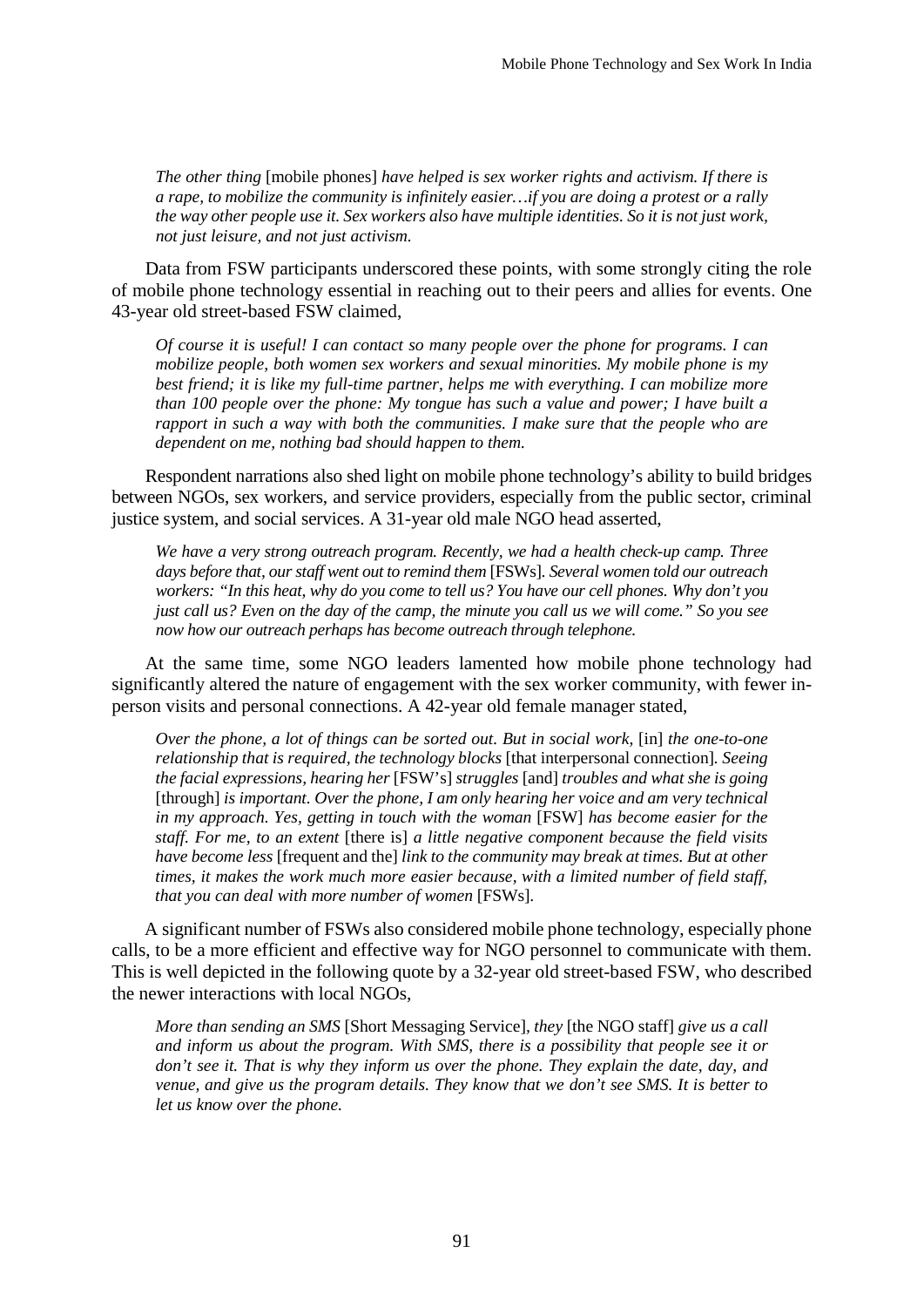*The other thing* [mobile phones] *have helped is sex worker rights and activism. If there is a rape, to mobilize the community is infinitely easier…if you are doing a protest or a rally the way other people use it. Sex workers also have multiple identities. So it is not just work, not just leisure, and not just activism.*

Data from FSW participants underscored these points, with some strongly citing the role of mobile phone technology essential in reaching out to their peers and allies for events. One 43-year old street-based FSW claimed,

*Of course it is useful! I can contact so many people over the phone for programs. I can mobilize people, both women sex workers and sexual minorities. My mobile phone is my best friend; it is like my full-time partner, helps me with everything. I can mobilize more than 100 people over the phone: My tongue has such a value and power; I have built a rapport in such a way with both the communities. I make sure that the people who are dependent on me, nothing bad should happen to them.*

Respondent narrations also shed light on mobile phone technology's ability to build bridges between NGOs, sex workers, and service providers, especially from the public sector, criminal justice system, and social services. A 31-year old male NGO head asserted,

*We have a very strong outreach program. Recently, we had a health check-up camp. Three days before that, our staff went out to remind them* [FSWs]*. Several women told our outreach workers: "In this heat, why do you come to tell us? You have our cell phones. Why don't you* just call us? Even on the day of the camp, the minute you call us we will come." So you see *now how our outreach perhaps has become outreach through telephone.*

At the same time, some NGO leaders lamented how mobile phone technology had significantly altered the nature of engagement with the sex worker community, with fewer inperson visits and personal connections. A 42-year old female manager stated,

*Over the phone, a lot of things can be sorted out. But in social work,* [in] *the one-to-one relationship that is required, the technology blocks* [that interpersonal connection]*. Seeing the facial expressions, hearing her* [FSW's] *struggles* [and] *troubles and what she is going* [through] *is important. Over the phone, I am only hearing her voice and am very technical in my approach. Yes, getting in touch with the woman* [FSW] *has become easier for the staff. For me, to an extent* [there is] *a little negative component because the field visits have become less* [frequent and the] *link to the community may break at times. But at other times, it makes the work much more easier because, with a limited number of field staff, that you can deal with more number of women* [FSWs]*.*

A significant number of FSWs also considered mobile phone technology, especially phone calls, to be a more efficient and effective way for NGO personnel to communicate with them. This is well depicted in the following quote by a 32-year old street-based FSW, who described the newer interactions with local NGOs,

*More than sending an SMS* [Short Messaging Service]*, they* [the NGO staff] *give us a call and inform us about the program. With SMS, there is a possibility that people see it or don't see it. That is why they inform us over the phone. They explain the date, day, and venue, and give us the program details. They know that we don't see SMS. It is better to let us know over the phone.*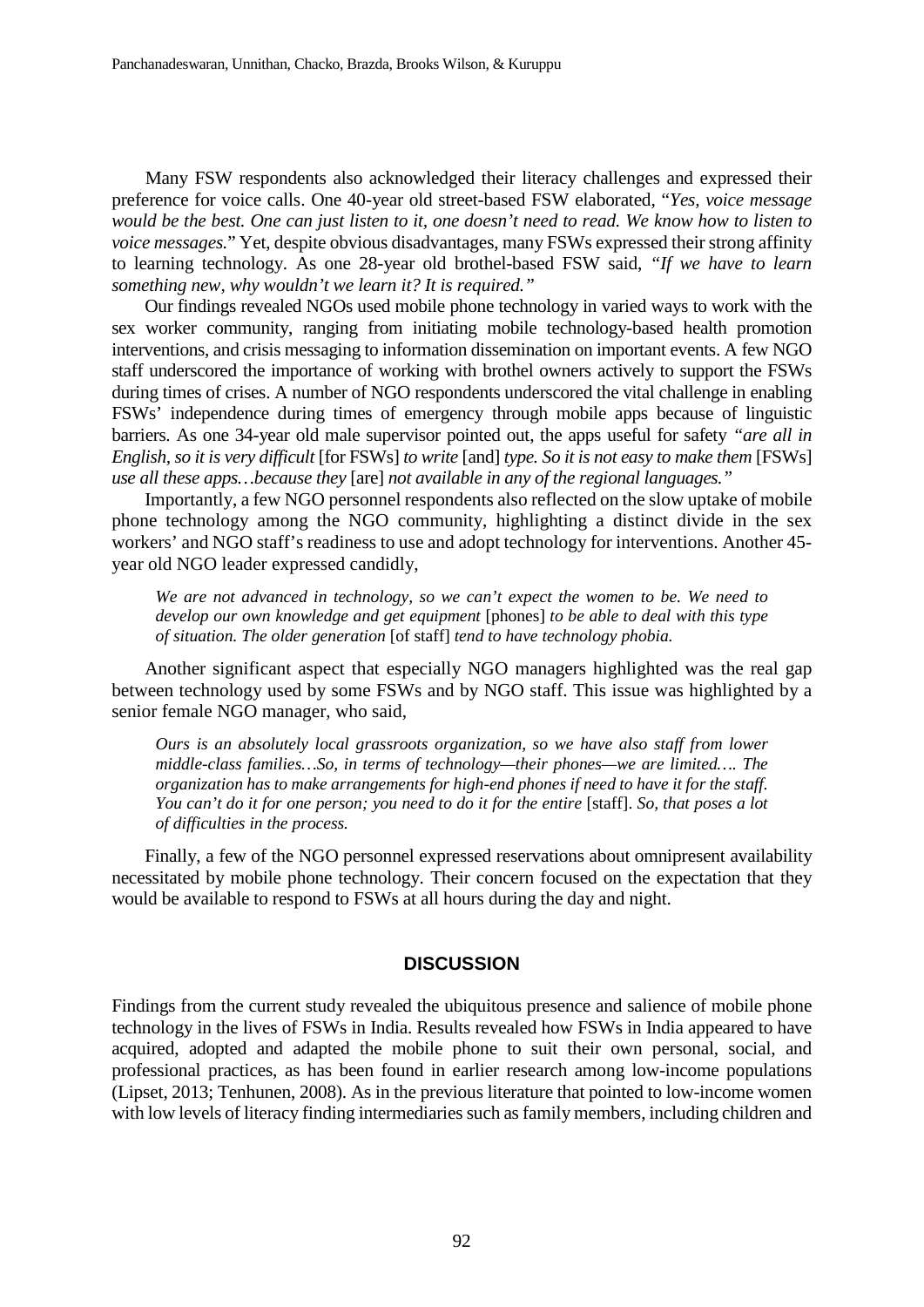Many FSW respondents also acknowledged their literacy challenges and expressed their preference for voice calls. One 40-year old street-based FSW elaborated, "*Yes, voice message* would be the best. One can just listen to it, one doesn't need to read. We know how to listen to *voice messages.*" Yet, despite obvious disadvantages, many FSWs expressed their strong affinity to learning technology. As one 28-year old brothel-based FSW said, *"If we have to learn something new, why wouldn't we learn it? It is required."*

Our findings revealed NGOs used mobile phone technology in varied ways to work with the sex worker community, ranging from initiating mobile technology-based health promotion interventions, and crisis messaging to information dissemination on important events. A few NGO staff underscored the importance of working with brothel owners actively to support the FSWs during times of crises. A number of NGO respondents underscored the vital challenge in enabling FSWs' independence during times of emergency through mobile apps because of linguistic barriers. As one 34-year old male supervisor pointed out, the apps useful for safety *"are all in English, so it is very difficult* [for FSWs] *to write* [and] *type. So it is not easy to make them* [FSWs] *use all these apps…because they* [are] *not available in any of the regional languages."*

Importantly, a few NGO personnel respondents also reflected on the slow uptake of mobile phone technology among the NGO community, highlighting a distinct divide in the sex workers' and NGO staff's readiness to use and adopt technology for interventions. Another 45 year old NGO leader expressed candidly,

*We are not advanced in technology, so we can't expect the women to be. We need to develop our own knowledge and get equipment* [phones] *to be able to deal with this type of situation. The older generation* [of staff] *tend to have technology phobia.*

Another significant aspect that especially NGO managers highlighted was the real gap between technology used by some FSWs and by NGO staff. This issue was highlighted by a senior female NGO manager, who said,

*Ours is an absolutely local grassroots organization, so we have also staff from lower middle-class families…So, in terms of technology—their phones—we are limited…. The organization has to make arrangements for high-end phones if need to have it for the staff.* You can't do it for one person; you need to do it for the entire [staff]. So, that poses a lot *of difficulties in the process.*

Finally, a few of the NGO personnel expressed reservations about omnipresent availability necessitated by mobile phone technology. Their concern focused on the expectation that they would be available to respond to FSWs at all hours during the day and night.

#### **DISCUSSION**

Findings from the current study revealed the ubiquitous presence and salience of mobile phone technology in the lives of FSWs in India. Results revealed how FSWs in India appeared to have acquired, adopted and adapted the mobile phone to suit their own personal, social, and professional practices, as has been found in earlier research among low-income populations (Lipset, 2013; Tenhunen, 2008). As in the previous literature that pointed to low-income women with low levels of literacy finding intermediaries such as family members, including children and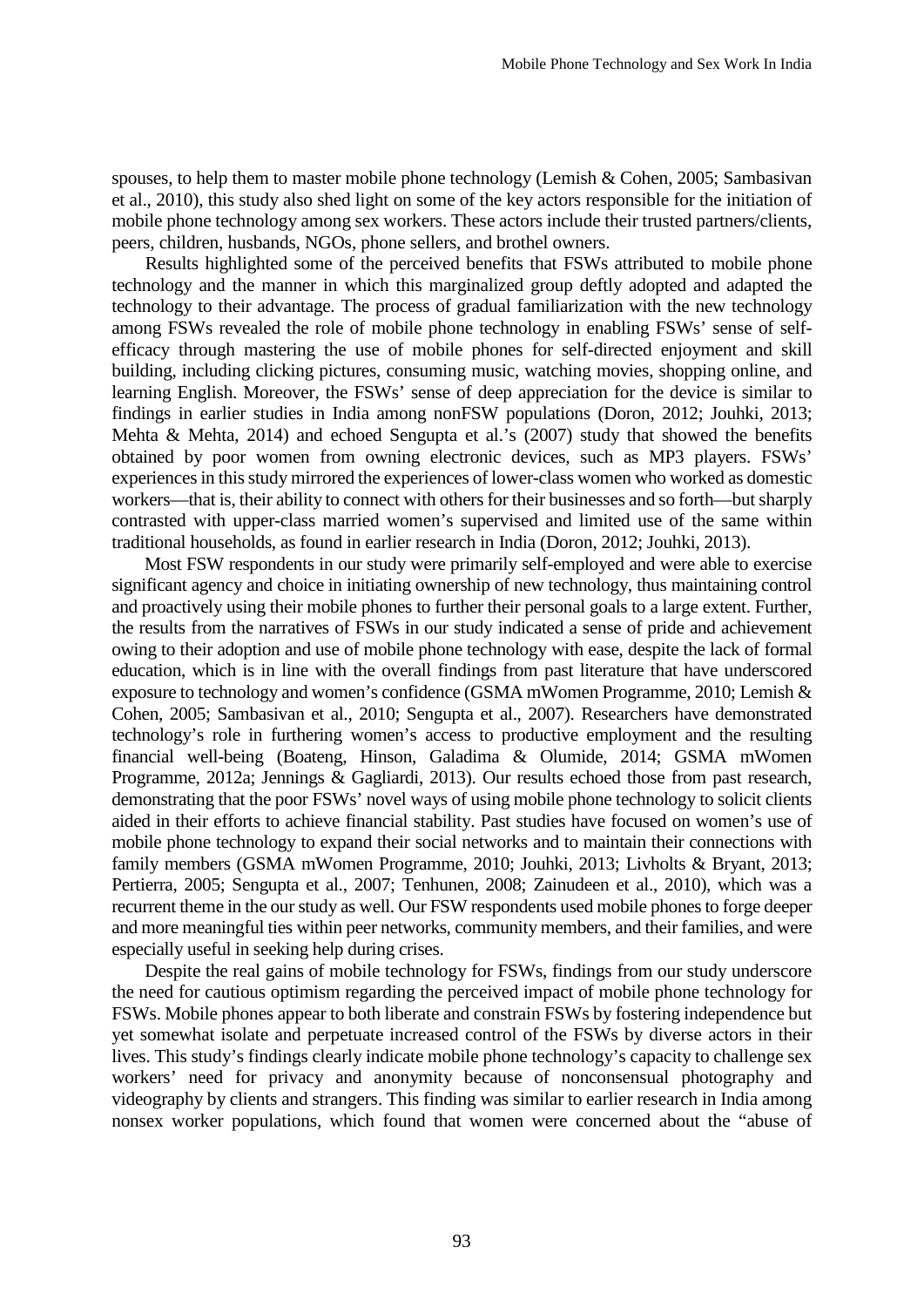spouses, to help them to master mobile phone technology (Lemish & Cohen, 2005; Sambasivan et al., 2010), this study also shed light on some of the key actors responsible for the initiation of mobile phone technology among sex workers. These actors include their trusted partners/clients, peers, children, husbands, NGOs, phone sellers, and brothel owners.

Results highlighted some of the perceived benefits that FSWs attributed to mobile phone technology and the manner in which this marginalized group deftly adopted and adapted the technology to their advantage. The process of gradual familiarization with the new technology among FSWs revealed the role of mobile phone technology in enabling FSWs' sense of selfefficacy through mastering the use of mobile phones for self-directed enjoyment and skill building, including clicking pictures, consuming music, watching movies, shopping online, and learning English. Moreover, the FSWs' sense of deep appreciation for the device is similar to findings in earlier studies in India among nonFSW populations (Doron, 2012; Jouhki, 2013; Mehta & Mehta, 2014) and echoed Sengupta et al.'s (2007) study that showed the benefits obtained by poor women from owning electronic devices, such as MP3 players. FSWs' experiences in this study mirrored the experiences of lower-class women who worked as domestic workers—that is, their ability to connect with others for their businesses and so forth—but sharply contrasted with upper-class married women's supervised and limited use of the same within traditional households, as found in earlier research in India (Doron, 2012; Jouhki, 2013).

Most FSW respondents in our study were primarily self-employed and were able to exercise significant agency and choice in initiating ownership of new technology, thus maintaining control and proactively using their mobile phones to further their personal goals to a large extent. Further, the results from the narratives of FSWs in our study indicated a sense of pride and achievement owing to their adoption and use of mobile phone technology with ease, despite the lack of formal education, which is in line with the overall findings from past literature that have underscored exposure to technology and women's confidence (GSMA mWomen Programme, 2010; Lemish & Cohen, 2005; Sambasivan et al., 2010; Sengupta et al., 2007). Researchers have demonstrated technology's role in furthering women's access to productive employment and the resulting financial well-being (Boateng, Hinson, Galadima & Olumide, 2014; GSMA mWomen Programme, 2012a; Jennings & Gagliardi, 2013). Our results echoed those from past research, demonstrating that the poor FSWs' novel ways of using mobile phone technology to solicit clients aided in their efforts to achieve financial stability. Past studies have focused on women's use of mobile phone technology to expand their social networks and to maintain their connections with family members (GSMA mWomen Programme, 2010; Jouhki, 2013; Livholts & Bryant, 2013; Pertierra, 2005; Sengupta et al., 2007; Tenhunen, 2008; Zainudeen et al., 2010), which was a recurrent theme in the our study as well. Our FSW respondents used mobile phones to forge deeper and more meaningful ties within peer networks, community members, and their families, and were especially useful in seeking help during crises.

Despite the real gains of mobile technology for FSWs, findings from our study underscore the need for cautious optimism regarding the perceived impact of mobile phone technology for FSWs. Mobile phones appear to both liberate and constrain FSWs by fostering independence but yet somewhat isolate and perpetuate increased control of the FSWs by diverse actors in their lives. This study's findings clearly indicate mobile phone technology's capacity to challenge sex workers' need for privacy and anonymity because of nonconsensual photography and videography by clients and strangers. This finding was similar to earlier research in India among nonsex worker populations, which found that women were concerned about the "abuse of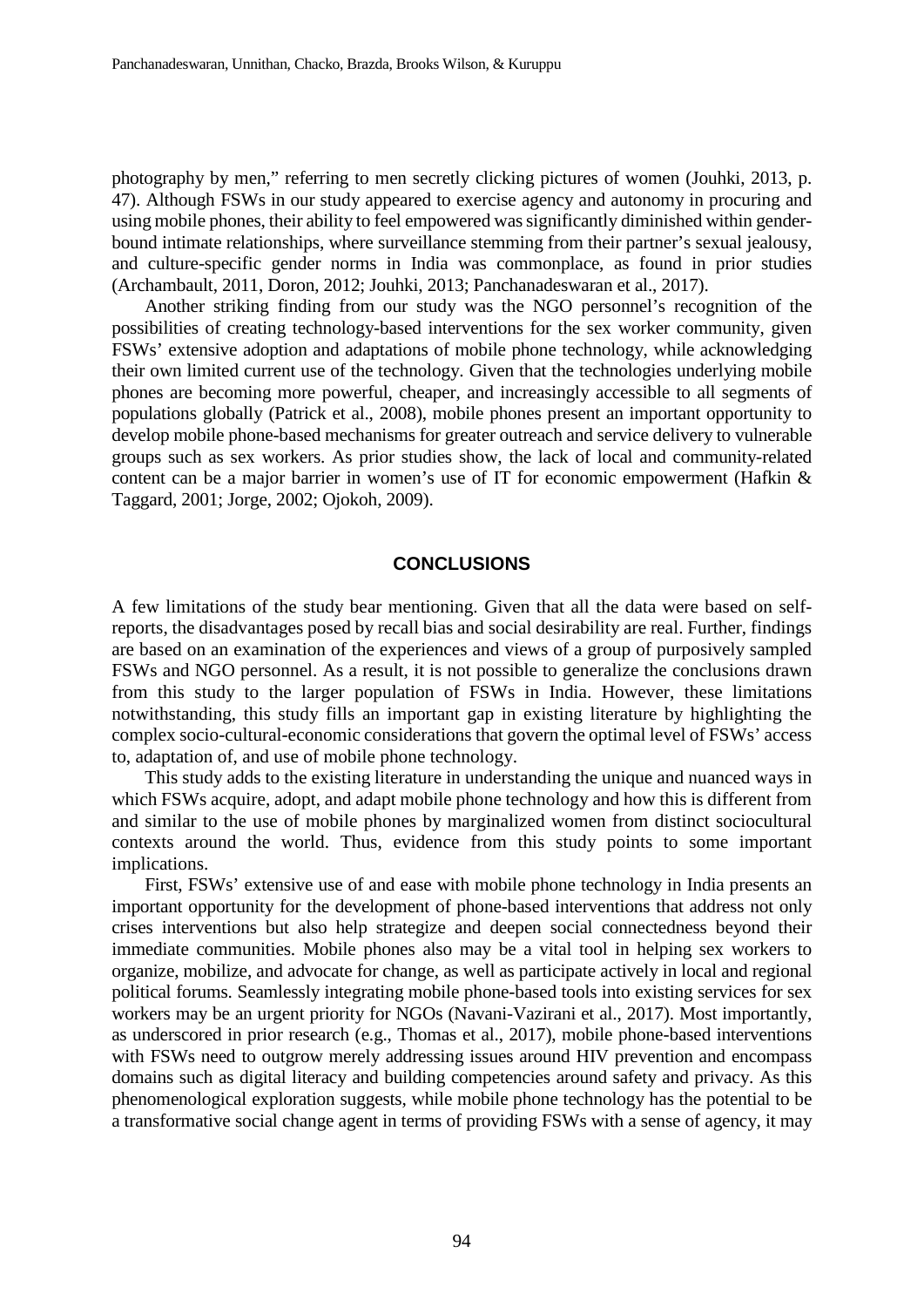photography by men," referring to men secretly clicking pictures of women (Jouhki, 2013, p. 47). Although FSWs in our study appeared to exercise agency and autonomy in procuring and using mobile phones, their ability to feel empowered wassignificantly diminished within genderbound intimate relationships, where surveillance stemming from their partner's sexual jealousy, and culture-specific gender norms in India was commonplace, as found in prior studies (Archambault, 2011, Doron, 2012; Jouhki, 2013; Panchanadeswaran et al., 2017).

Another striking finding from our study was the NGO personnel's recognition of the possibilities of creating technology-based interventions for the sex worker community, given FSWs' extensive adoption and adaptations of mobile phone technology, while acknowledging their own limited current use of the technology. Given that the technologies underlying mobile phones are becoming more powerful, cheaper, and increasingly accessible to all segments of populations globally (Patrick et al., 2008), mobile phones present an important opportunity to develop mobile phone-based mechanisms for greater outreach and service delivery to vulnerable groups such as sex workers. As prior studies show, the lack of local and community-related content can be a major barrier in women's use of IT for economic empowerment (Hafkin & Taggard, 2001; Jorge, 2002; Ojokoh, 2009).

#### **CONCLUSIONS**

A few limitations of the study bear mentioning. Given that all the data were based on selfreports, the disadvantages posed by recall bias and social desirability are real. Further, findings are based on an examination of the experiences and views of a group of purposively sampled FSWs and NGO personnel. As a result, it is not possible to generalize the conclusions drawn from this study to the larger population of FSWs in India. However, these limitations notwithstanding, this study fills an important gap in existing literature by highlighting the complex socio-cultural-economic considerations that govern the optimal level of FSWs' access to, adaptation of, and use of mobile phone technology.

This study adds to the existing literature in understanding the unique and nuanced ways in which FSWs acquire, adopt, and adapt mobile phone technology and how this is different from and similar to the use of mobile phones by marginalized women from distinct sociocultural contexts around the world. Thus, evidence from this study points to some important implications.

First, FSWs' extensive use of and ease with mobile phone technology in India presents an important opportunity for the development of phone-based interventions that address not only crises interventions but also help strategize and deepen social connectedness beyond their immediate communities. Mobile phones also may be a vital tool in helping sex workers to organize, mobilize, and advocate for change, as well as participate actively in local and regional political forums. Seamlessly integrating mobile phone-based tools into existing services for sex workers may be an urgent priority for NGOs (Navani-Vazirani et al., 2017). Most importantly, as underscored in prior research (e.g., Thomas et al., 2017), mobile phone-based interventions with FSWs need to outgrow merely addressing issues around HIV prevention and encompass domains such as digital literacy and building competencies around safety and privacy. As this phenomenological exploration suggests, while mobile phone technology has the potential to be a transformative social change agent in terms of providing FSWs with a sense of agency, it may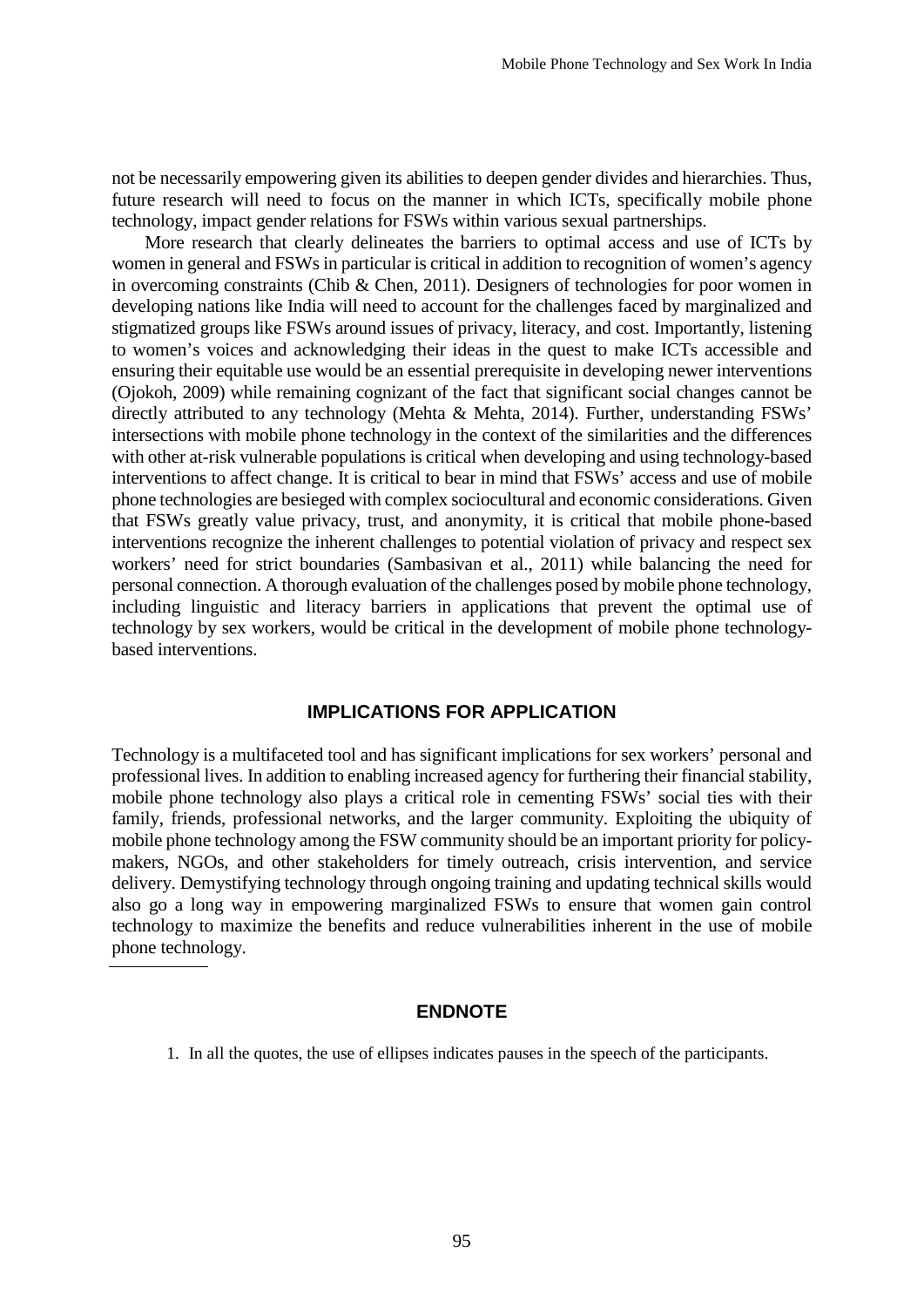not be necessarily empowering given its abilities to deepen gender divides and hierarchies. Thus, future research will need to focus on the manner in which ICTs, specifically mobile phone technology, impact gender relations for FSWs within various sexual partnerships.

More research that clearly delineates the barriers to optimal access and use of ICTs by women in general and FSWsin particular is critical in addition to recognition of women's agency in overcoming constraints (Chib & Chen, 2011). Designers of technologies for poor women in developing nations like India will need to account for the challenges faced by marginalized and stigmatized groups like FSWs around issues of privacy, literacy, and cost. Importantly, listening to women's voices and acknowledging their ideas in the quest to make ICTs accessible and ensuring their equitable use would be an essential prerequisite in developing newer interventions (Ojokoh, 2009) while remaining cognizant of the fact that significant social changes cannot be directly attributed to any technology (Mehta & Mehta, 2014). Further, understanding FSWs' intersections with mobile phone technology in the context of the similarities and the differences with other at-risk vulnerable populations is critical when developing and using technology-based interventions to affect change. It is critical to bear in mind that FSWs' access and use of mobile phone technologies are besieged with complex sociocultural and economic considerations. Given that FSWs greatly value privacy, trust, and anonymity, it is critical that mobile phone-based interventions recognize the inherent challenges to potential violation of privacy and respect sex workers' need for strict boundaries (Sambasivan et al., 2011) while balancing the need for personal connection. A thorough evaluation of the challenges posed by mobile phone technology, including linguistic and literacy barriers in applications that prevent the optimal use of technology by sex workers, would be critical in the development of mobile phone technologybased interventions.

### **IMPLICATIONS FOR APPLICATION**

Technology is a multifaceted tool and has significant implications for sex workers' personal and professional lives. In addition to enabling increased agency for furthering their financial stability, mobile phone technology also plays a critical role in cementing FSWs' social ties with their family, friends, professional networks, and the larger community. Exploiting the ubiquity of mobile phone technology among the FSW community should be an important priority for policymakers, NGOs, and other stakeholders for timely outreach, crisis intervention, and service delivery. Demystifying technology through ongoing training and updating technical skills would also go a long way in empowering marginalized FSWs to ensure that women gain control technology to maximize the benefits and reduce vulnerabilities inherent in the use of mobile phone technology.

### **ENDNOTE**

<sup>1.</sup> In all the quotes, the use of ellipses indicates pauses in the speech of the participants.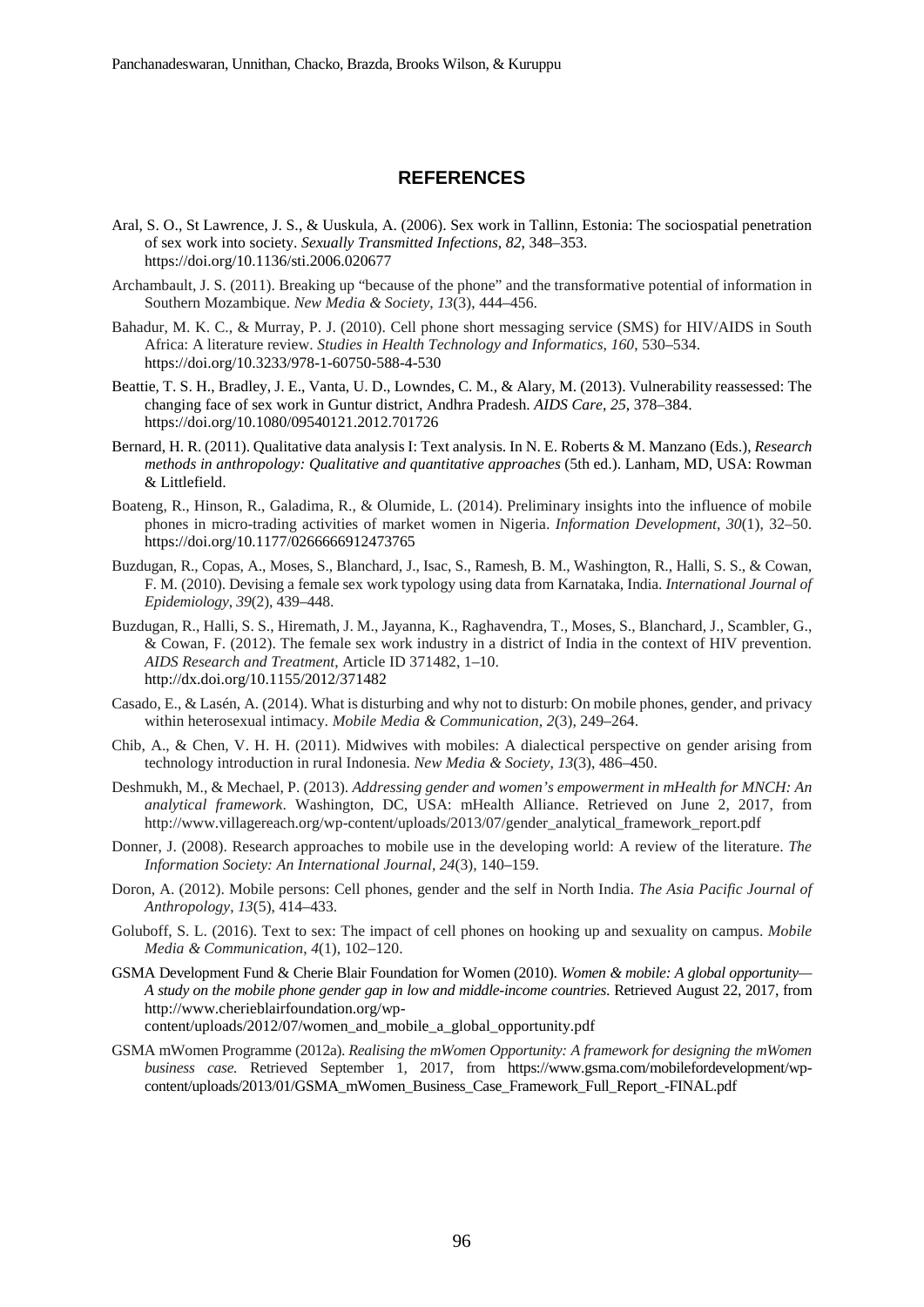### **REFERENCES**

- Aral, S. O., St Lawrence, J. S., & Uuskula, A. (2006). Sex work in Tallinn, Estonia: The sociospatial penetration of sex work into society. *Sexually Transmitted Infections*, *82*, 348–353. https://doi.org/10.1136/sti.2006.020677
- Archambault, J. S. (2011). Breaking up "because of the phone" and the transformative potential of information in Southern Mozambique. *New Media & Society*, *13*(3), 444–456.
- Bahadur, M. K. C., & Murray, P. J. (2010). Cell phone short messaging service (SMS) for HIV/AIDS in South Africa: A literature review. *Studies in Health Technology and Informatics*, *160*, 530–534. https://doi.org/10.3233/978-1-60750-588-4-530
- Beattie, T. S. H., Bradley, J. E., Vanta, U. D., Lowndes, C. M., & Alary, M. (2013). Vulnerability reassessed: The changing face of sex work in Guntur district, Andhra Pradesh. *AIDS Care*, *25*, 378–384. https://doi.org/10.1080/09540121.2012.701726
- Bernard, H. R. (2011). Qualitative data analysis I: Text analysis. In N. E. Roberts & M. Manzano (Eds.), *Research methods in anthropology: Qualitative and quantitative approaches* (5th ed.). Lanham, MD, USA: Rowman & Littlefield.
- Boateng, R., Hinson, R., Galadima, R., & Olumide, L. (2014). Preliminary insights into the influence of mobile phones in micro-trading activities of market women in Nigeria. *Information Development*, *30*(1), 32–50. https://doi.org/10.1177/0266666912473765
- Buzdugan, R., Copas, A., Moses, S., Blanchard, J., Isac, S., Ramesh, B. M., Washington, R., Halli, S. S., & Cowan, F. M. (2010). Devising a female sex work typology using data from Karnataka, India. *International Journal of Epidemiology*, *39*(2), 439–448.
- Buzdugan, R., Halli, S. S., Hiremath, J. M., Jayanna, K., Raghavendra, T., Moses, S., Blanchard, J., Scambler, G., & Cowan, F. (2012). The female sex work industry in a district of India in the context of HIV prevention. *AIDS Research and Treatment*, Article ID 371482, 1–10. http://dx.doi.org/10.1155/2012/371482
- Casado, E., & Lasén, A. (2014). What is disturbing and why not to disturb: On mobile phones, gender, and privacy within heterosexual intimacy. *Mobile Media & Communication*, *2*(3), 249–264.
- Chib, A., & Chen, V. H. H. (2011). Midwives with mobiles: A dialectical perspective on gender arising from technology introduction in rural Indonesia. *New Media & Society*, *13*(3), 486–450.
- Deshmukh, M., & Mechael, P. (2013). *Addressing gender and women's empowerment in mHealth for MNCH: An analytical framework*. Washington, DC, USA: mHealth Alliance. Retrieved on June 2, 2017, from http://www.villagereach.org/wp-content/uploads/2013/07/gender\_analytical\_framework\_report.pdf
- Donner, J. (2008). Research approaches to mobile use in the developing world: A review of the literature. *The Information Society: An International Journal, 24*(3), 140–159.
- Doron, A. (2012). Mobile persons: Cell phones, gender and the self in North India. *The Asia Pacific Journal of Anthropology*, *13*(5), 414–433.
- Goluboff, S. L. (2016). Text to sex: The impact of cell phones on hooking up and sexuality on campus. *Mobile Media & Communication*, *4*(1), 102–120.
- GSMA Development Fund & Cherie Blair Foundation for Women (2010). *Women & mobile: A global opportunity— A study on the mobile phone gender gap in low and middle-income countries*. Retrieved August 22, 2017, from http://www.cherieblairfoundation.org/wpcontent/uploads/2012/07/women\_and\_mobile\_a\_global\_opportunity.pdf
- GSMA mWomen Programme (2012a). *Realising the mWomen Opportunity: A framework for designing the mWomen business case.* Retrieved September 1, 2017, from https://www.gsma.com/mobilefordevelopment/wpcontent/uploads/2013/01/GSMA\_mWomen\_Business\_Case\_Framework\_Full\_Report\_-FINAL.pdf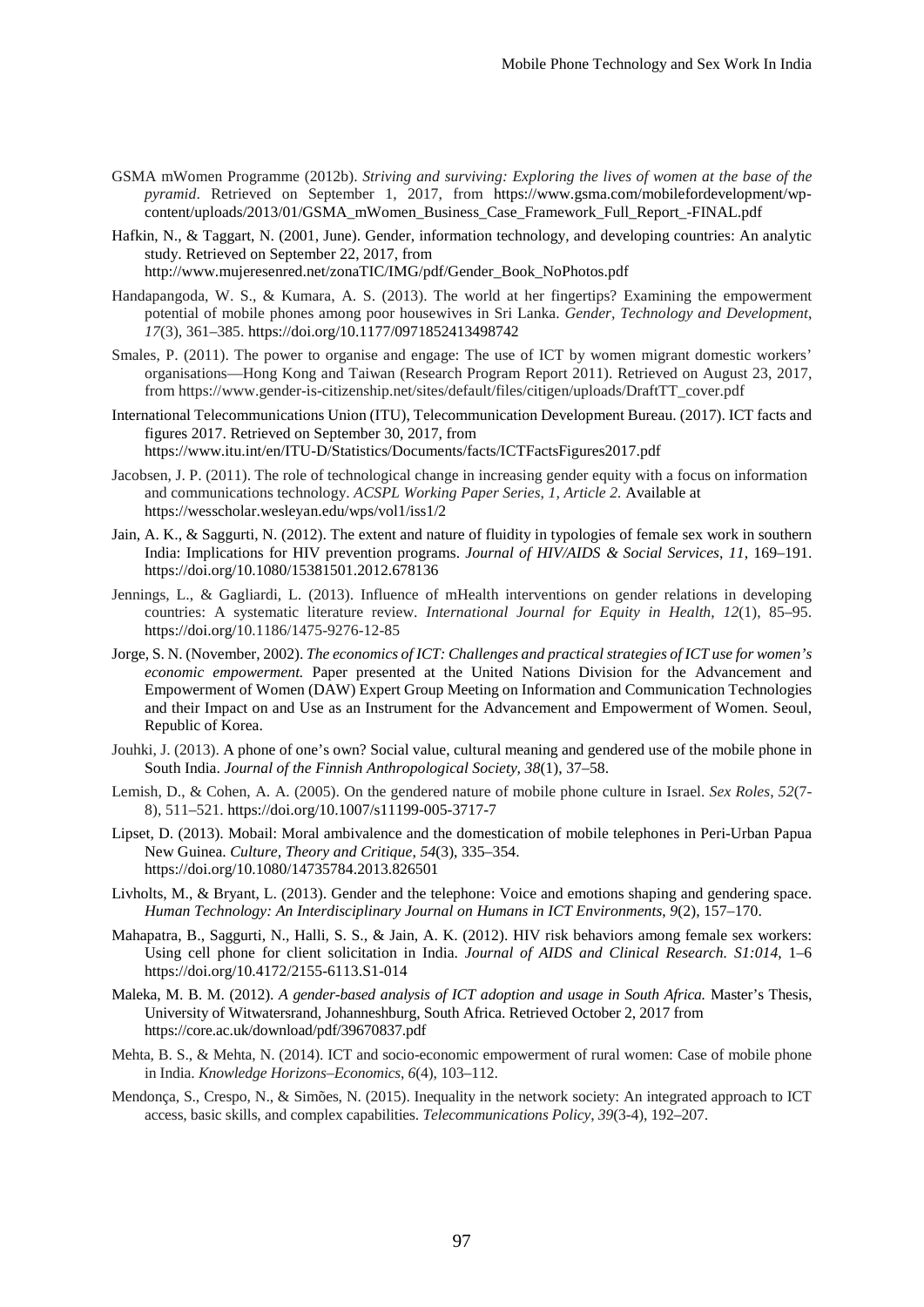- GSMA mWomen Programme (2012b). *Striving and surviving: Exploring the lives of women at the base of the pyramid*. Retrieved on September 1, 2017, from https://www.gsma.com/mobilefordevelopment/wpcontent/uploads/2013/01/GSMA\_mWomen\_Business\_Case\_Framework\_Full\_Report\_-FINAL.pdf
- Hafkin, N., & Taggart, N. (2001, June). Gender, information technology, and developing countries: An analytic study. Retrieved on September 22, 2017, from

http://www.mujeresenred.net/zonaTIC/IMG/pdf/Gender\_Book\_NoPhotos.pdf

- Handapangoda, W. S., & Kumara, A. S. (2013). The world at her fingertips? Examining the empowerment potential of mobile phones among poor housewives in Sri Lanka. *Gender, Technology and Development*, *17*(3), 361–385. https://doi.org/10.1177/0971852413498742
- Smales, P. (2011). The power to organise and engage: The use of ICT by women migrant domestic workers' organisations—Hong Kong and Taiwan (Research Program Report 2011). Retrieved on August 23, 2017, from https://www.gender-is-citizenship.net/sites/default/files/citigen/uploads/DraftTT\_cover.pdf
- International Telecommunications Union (ITU), Telecommunication Development Bureau. (2017). ICT facts and figures 2017. Retrieved on September 30, 2017, from https://www.itu.int/en/ITU-D/Statistics/Documents/facts/ICTFactsFigures2017.pdf
- Jacobsen, J. P. (2011). The role of technological change in increasing gender equity with a focus on information and communications technology. *ACSPL Working Paper Series*, *1, Article 2.* Available at https://wesscholar.wesleyan.edu/wps/vol1/iss1/2
- Jain, A. K., & Saggurti, N. (2012). The extent and nature of fluidity in typologies of female sex work in southern India: Implications for HIV prevention programs. *Journal of HIV/AIDS & Social Services*, *11*, 169–191. https://doi.org/10.1080/15381501.2012.678136
- Jennings, L., & Gagliardi, L. (2013). Influence of mHealth interventions on gender relations in developing countries: A systematic literature review. *International Journal for Equity in Health*, *12*(1), 85–95. https://doi.org/10.1186/1475-9276-12-85
- Jorge, S. N. (November, 2002). *The economics of ICT: Challenges and practical strategies of ICT use for women's economic empowerment.* Paper presented at the United Nations Division for the Advancement and Empowerment of Women (DAW) Expert Group Meeting on Information and Communication Technologies and their Impact on and Use as an Instrument for the Advancement and Empowerment of Women. Seoul, Republic of Korea.
- Jouhki, J. (2013). A phone of one's own? Social value, cultural meaning and gendered use of the mobile phone in South India. *Journal of the Finnish Anthropological Society, 38*(1), 37–58.
- Lemish, D., & Cohen, A. A. (2005). On the gendered nature of mobile phone culture in Israel. *Sex Roles*, *52*(7- 8), 511–521. https://doi.org/10.1007/s11199-005-3717-7
- Lipset, D. (2013). Mobail: Moral ambivalence and the domestication of mobile telephones in Peri-Urban Papua New Guinea. *Culture, Theory and Critique*, *54*(3), 335–354. https://doi.org/10.1080/14735784.2013.826501
- Livholts, M., & Bryant, L. (2013). Gender and the telephone: Voice and emotions shaping and gendering space. *Human Technology: An Interdisciplinary Journal on Humans in ICT Environments*, *9*(2), 157–170.
- Mahapatra, B., Saggurti, N., Halli, S. S., & Jain, A. K. (2012). HIV risk behaviors among female sex workers: Using cell phone for client solicitation in India. *Journal of AIDS and Clinical Research. S1:014*, 1–6 https://doi.org/10.4172/2155-6113.S1-014
- Maleka, M. B. M. (2012). *A gender-based analysis of ICT adoption and usage in South Africa.* Master's Thesis, University of Witwatersrand, Johanneshburg, South Africa. Retrieved October 2, 2017 from https://core.ac.uk/download/pdf/39670837.pdf
- Mehta, B. S., & Mehta, N. (2014). ICT and socio-economic empowerment of rural women: Case of mobile phone in India. *Knowledge Horizons–Economics*, *6*(4), 103–112.
- Mendonça, S., Crespo, N., & Simões, N. (2015). Inequality in the network society: An integrated approach to ICT access, basic skills, and complex capabilities. *Telecommunications Policy*, *39*(3-4), 192–207.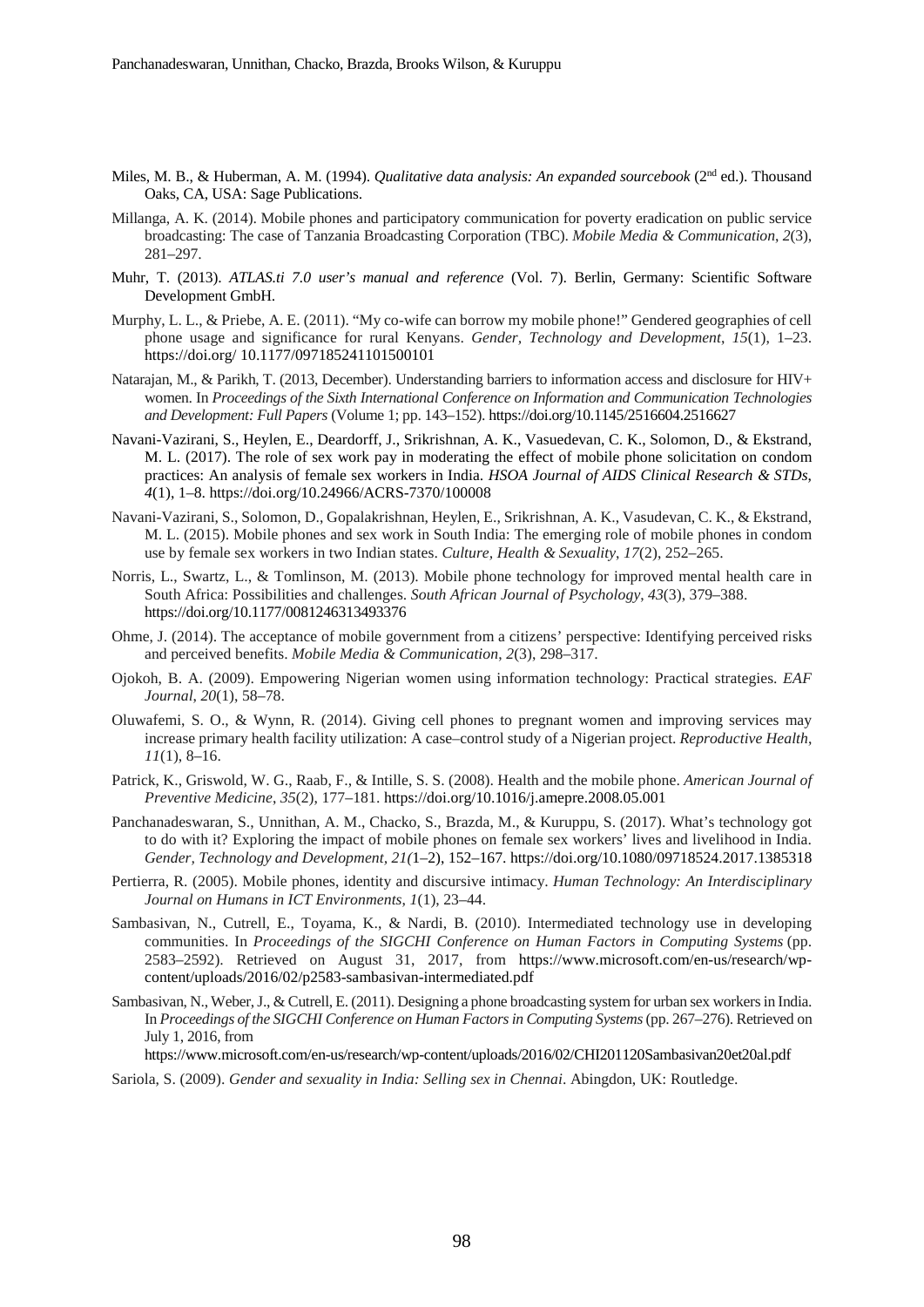- Miles, M. B., & Huberman, A. M. (1994). *Qualitative data analysis: An expanded sourcebook* (2nd ed.). Thousand Oaks, CA, USA: Sage Publications.
- Millanga, A. K. (2014). Mobile phones and participatory communication for poverty eradication on public service broadcasting: The case of Tanzania Broadcasting Corporation (TBC). *Mobile Media & Communication*, *2*(3), 281–297.
- Muhr, T. (2013). *ATLAS.ti 7.0 user's manual and reference* (Vol. 7). Berlin, Germany: Scientific Software Development GmbH.
- Murphy, L. L., & Priebe, A. E. (2011). "My co-wife can borrow my mobile phone!" Gendered geographies of cell phone usage and significance for rural Kenyans. *Gender, Technology and Development*, *15*(1), 1–23. https://doi.org/ 10.1177/097185241101500101
- Natarajan, M., & Parikh, T. (2013, December). Understanding barriers to information access and disclosure for HIV+ women. In *Proceedings of the Sixth International Conference on Information and Communication Technologies and Development: Full Papers* (Volume 1; pp. 143–152). https://doi.org/10.1145/2516604.2516627
- Navani-Vazirani, S., Heylen, E., Deardorff, J., Srikrishnan, A. K., Vasuedevan, C. K., Solomon, D., & Ekstrand, M. L. (2017). The role of sex work pay in moderating the effect of mobile phone solicitation on condom practices: An analysis of female sex workers in India. *HSOA Journal of AIDS Clinical Research & STDs*, *4*(1), 1–8. https://doi.org/10.24966/ACRS-7370/100008
- Navani-Vazirani, S., Solomon, D., Gopalakrishnan, Heylen, E., Srikrishnan, A. K., Vasudevan, C. K., & Ekstrand, M. L. (2015). Mobile phones and sex work in South India: The emerging role of mobile phones in condom use by female sex workers in two Indian states. *Culture, Health & Sexuality*, *17*(2), 252–265.
- Norris, L., Swartz, L., & Tomlinson, M. (2013). Mobile phone technology for improved mental health care in South Africa: Possibilities and challenges. *South African Journal of Psychology*, *43*(3), 379–388. https://doi.org/10.1177/0081246313493376
- Ohme, J. (2014). The acceptance of mobile government from a citizens' perspective: Identifying perceived risks and perceived benefits. *Mobile Media & Communication*, *2*(3), 298–317.
- Ojokoh, B. A. (2009). Empowering Nigerian women using information technology: Practical strategies. *EAF Journal*, *20*(1), 58–78.
- Oluwafemi, S. O., & Wynn, R. (2014). Giving cell phones to pregnant women and improving services may increase primary health facility utilization: A case–control study of a Nigerian project. *Reproductive Health*, *11*(1), 8–16.
- Patrick, K., Griswold, W. G., Raab, F., & Intille, S. S. (2008). Health and the mobile phone. *American Journal of Preventive Medicine*, *35*(2), 177–181. https://doi.org/10.1016/j.amepre.2008.05.001
- Panchanadeswaran, S., Unnithan, A. M., Chacko, S., Brazda, M., & Kuruppu, S. (2017). What's technology got to do with it? Exploring the impact of mobile phones on female sex workers' lives and livelihood in India. *Gender, Technology and Development, 21(*1–2), 152–167. https://doi.org/10.1080/09718524.2017.1385318
- Pertierra, R. (2005). Mobile phones, identity and discursive intimacy. *Human Technology: An Interdisciplinary Journal on Humans in ICT Environments*, *1*(1), 23–44.
- Sambasivan, N., Cutrell, E., Toyama, K., & Nardi, B. (2010). Intermediated technology use in developing communities. In *Proceedings of the SIGCHI Conference on Human Factors in Computing Systems* (pp. 2583–2592). Retrieved on August 31, 2017, from https://www.microsoft.com/en-us/research/wpcontent/uploads/2016/02/p2583-sambasivan-intermediated.pdf
- Sambasivan, N., Weber, J., & Cutrell, E. (2011). Designing a phone broadcasting system for urban sex workers in India. In *Proceedings of the SIGCHI Conference on Human Factors in Computing Systems*(pp. 267–276). Retrieved on July 1, 2016, from

https://www.microsoft.com/en-us/research/wp-content/uploads/2016/02/CHI201120Sambasivan20et20al.pdf

Sariola, S. (2009). *Gender and sexuality in India: Selling sex in Chennai*. Abingdon, UK: Routledge.